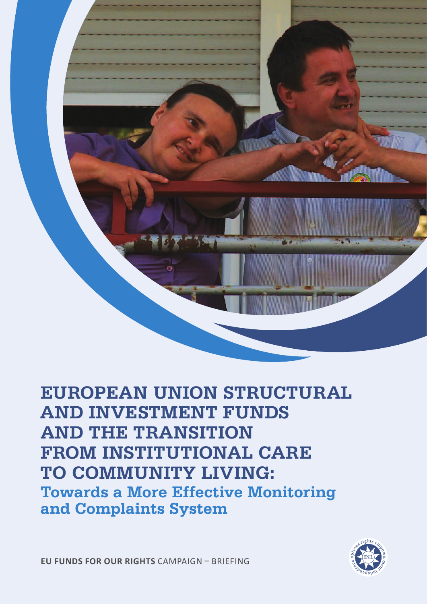

# **European Union Structural and Investment Funds and the Transition FROM INSTITUTIONAL CARE to Community Living: Towards a More Effective Monitoring and Complaints System**

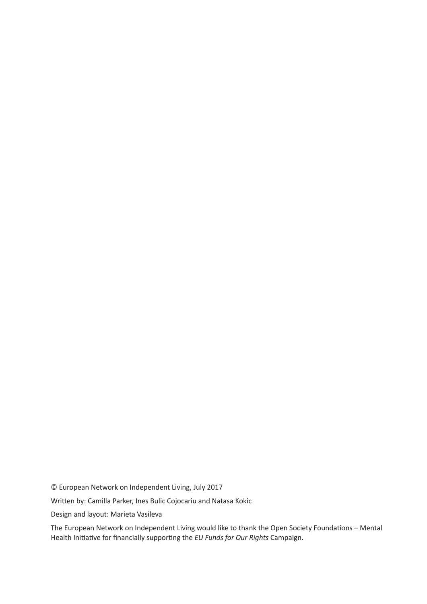© European Network on Independent Living, July 2017

Written by: Camilla Parker, Ines Bulic Cojocariu and Natasa Kokic

Design and layout: Marieta Vasileva

The European Network on Independent Living would like to thank the Open Society Foundations – Mental Health Initiative for financially supporting the *EU Funds for Our Rights* Campaign.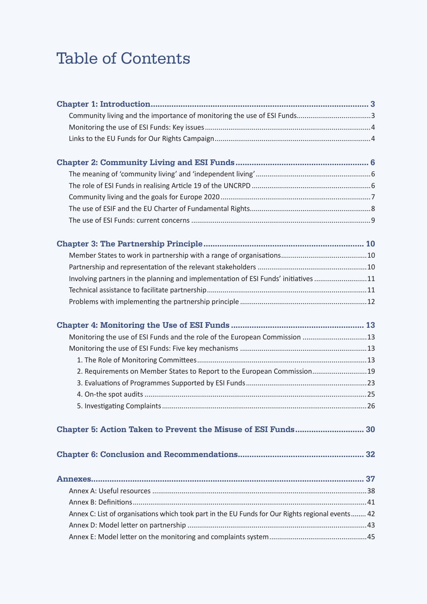# Table of Contents

| Involving partners in the planning and implementation of ESI Funds' initiatives 11               |  |
|--------------------------------------------------------------------------------------------------|--|
|                                                                                                  |  |
|                                                                                                  |  |
|                                                                                                  |  |
| Monitoring the use of ESI Funds and the role of the European Commission  13                      |  |
|                                                                                                  |  |
|                                                                                                  |  |
| 2. Requirements on Member States to Report to the European Commission19                          |  |
|                                                                                                  |  |
|                                                                                                  |  |
|                                                                                                  |  |
| Chapter 5: Action Taken to Prevent the Misuse of ESI Funds 30                                    |  |
|                                                                                                  |  |
|                                                                                                  |  |
|                                                                                                  |  |
|                                                                                                  |  |
| Annex C: List of organisations which took part in the EU Funds for Our Rights regional events 42 |  |
|                                                                                                  |  |
|                                                                                                  |  |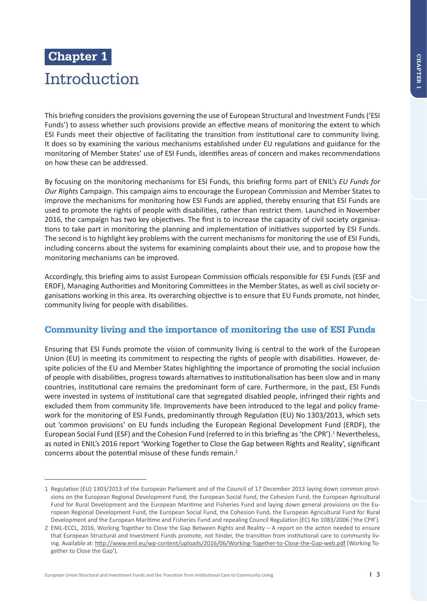# **Chapter 1**  Introduction

This briefing considers the provisions governing the use of European Structural and Investment Funds ('ESI Funds') to assess whether such provisions provide an effective means of monitoring the extent to which ESI Funds meet their objective of facilitating the transition from institutional care to community living. It does so by examining the various mechanisms established under EU regulations and guidance for the monitoring of Member States' use of ESI Funds, identifies areas of concern and makes recommendations on how these can be addressed.

By focusing on the monitoring mechanisms for ESI Funds, this briefing forms part of ENIL's *EU Funds for Our Rights* Campaign. This campaign aims to encourage the European Commission and Member States to improve the mechanisms for monitoring how ESI Funds are applied, thereby ensuring that ESI Funds are used to promote the rights of people with disabilities, rather than restrict them. Launched in November 2016, the campaign has two key objectives. The first is to increase the capacity of civil society organisations to take part in monitoring the planning and implementation of initiatives supported by ESI Funds. The second is to highlight key problems with the current mechanisms for monitoring the use of ESI Funds, including concerns about the systems for examining complaints about their use, and to propose how the monitoring mechanisms can be improved.

Accordingly, this briefing aims to assist European Commission officials responsible for ESI Funds (ESF and ERDF), Managing Authorities and Monitoring Committees in the Member States, as well as civil society organisations working in this area. Its overarching objective is to ensure that EU Funds promote, not hinder, community living for people with disabilities.

# **Community living and the importance of monitoring the use of ESI Funds**

Ensuring that ESI Funds promote the vision of community living is central to the work of the European Union (EU) in meeting its commitment to respecting the rights of people with disabilities. However, despite policies of the EU and Member States highlighting the importance of promoting the social inclusion of people with disabilities, progress towards alternatives to institutionalisation has been slow and in many countries, institutional care remains the predominant form of care. Furthermore, in the past, ESI Funds were invested in systems of institutional care that segregated disabled people, infringed their rights and excluded them from community life. Improvements have been introduced to the legal and policy framework for the monitoring of ESI Funds, predominantly through Regulation (EU) No 1303/2013, which sets out 'common provisions' on EU funds including the European Regional Development Fund (ERDF), the European Social Fund (ESF) and the Cohesion Fund (referred to in this briefing as 'the CPR').<sup>1</sup> Nevertheless, as noted in ENIL's 2016 report 'Working Together to Close the Gap between Rights and Reality', significant concerns about the potential misuse of these funds remain.2

<sup>1</sup> Regulation (EU) 1303/2013 of the European Parliament and of the Council of 17 December 2013 laying down common provisions on the European Regional Development Fund, the European Social Fund, the Cohesion Fund, the European Agricultural Fund for Rural Development and the European Maritime and Fisheries Fund and laying down general provisions on the European Regional Development Fund, the European Social Fund, the Cohesion Fund, the European Agricultural Fund for Rural Development and the European Maritime and Fisheries Fund and repealing Council Regulation (EC) No 1083/2006 ('the CPR').

<sup>2</sup> ENIL-ECCL, 2016, Working Together to Close the Gap Between Rights and Reality – A report on the action needed to ensure that European Structural and Investment Funds promote, not hinder, the transition from institutional care to community living. Available at: http://www.enil.eu/wp-content/uploads/2016/06/Working-Together-to-Close-the-Gap-web.pdf (Working Together to Close the Gap').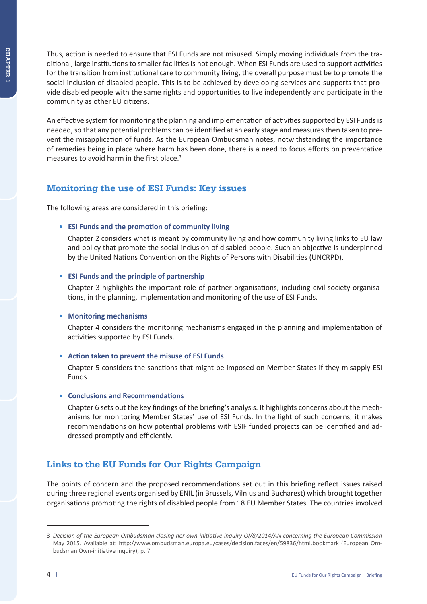Thus, action is needed to ensure that ESI Funds are not misused. Simply moving individuals from the traditional, large institutions to smaller facilities is not enough. When ESI Funds are used to support activities for the transition from institutional care to community living, the overall purpose must be to promote the social inclusion of disabled people. This is to be achieved by developing services and supports that provide disabled people with the same rights and opportunities to live independently and participate in the community as other EU citizens.

An effective system for monitoring the planning and implementation of activities supported by ESI Funds is needed, so that any potential problems can be identified at an early stage and measures then taken to prevent the misapplication of funds. As the European Ombudsman notes, notwithstanding the importance of remedies being in place where harm has been done, there is a need to focus efforts on preventative measures to avoid harm in the first place.<sup>3</sup>

## **Monitoring the use of ESI Funds: Key issues**

The following areas are considered in this briefing:

## • **ESI Funds and the promotion of community living**

 Chapter 2 considers what is meant by community living and how community living links to EU law and policy that promote the social inclusion of disabled people. Such an objective is underpinned by the United Nations Convention on the Rights of Persons with Disabilities (UNCRPD).

## • **ESI Funds and the principle of partnership**

 Chapter 3 highlights the important role of partner organisations, including civil society organisations, in the planning, implementation and monitoring of the use of ESI Funds.

## • **Monitoring mechanisms**

 Chapter 4 considers the monitoring mechanisms engaged in the planning and implementation of activities supported by ESI Funds.

## • **Action taken to prevent the misuse of ESI Funds**

 Chapter 5 considers the sanctions that might be imposed on Member States if they misapply ESI Funds.

## • **Conclusions and Recommendations**

 Chapter 6 sets out the key findings of the briefing's analysis. It highlights concerns about the mechanisms for monitoring Member States' use of ESI Funds. In the light of such concerns, it makes recommendations on how potential problems with ESIF funded projects can be identified and addressed promptly and efficiently.

# **Links to the EU Funds for Our Rights Campaign**

The points of concern and the proposed recommendations set out in this briefing reflect issues raised during three regional events organised by ENIL (in Brussels, Vilnius and Bucharest) which brought together organisations promoting the rights of disabled people from 18 EU Member States. The countries involved

<sup>3</sup> *Decision of the European Ombudsman closing her own-initiative inquiry OI/8/2014/AN concerning the European Commission*  May 2015. Available at: http://www.ombudsman.europa.eu/cases/decision.faces/en/59836/html.bookmark (European Ombudsman Own-initiative inquiry), p. 7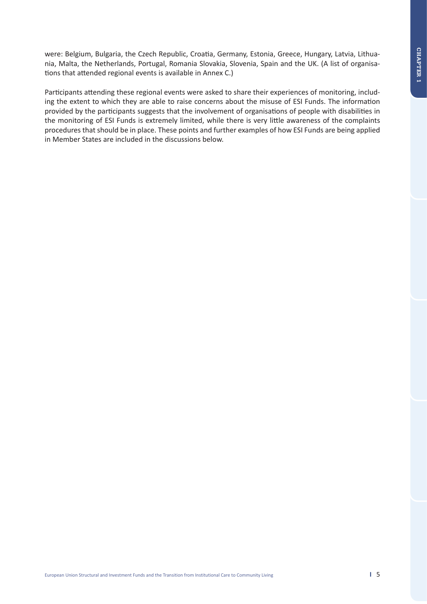were: Belgium, Bulgaria, the Czech Republic, Croatia, Germany, Estonia, Greece, Hungary, Latvia, Lithuania, Malta, the Netherlands, Portugal, Romania Slovakia, Slovenia, Spain and the UK. (A list of organisations that attended regional events is available in Annex C.)

Participants attending these regional events were asked to share their experiences of monitoring, including the extent to which they are able to raise concerns about the misuse of ESI Funds. The information provided by the participants suggests that the involvement of organisations of people with disabilities in the monitoring of ESI Funds is extremely limited, while there is very little awareness of the complaints procedures that should be in place. These points and further examples of how ESI Funds are being applied in Member States are included in the discussions below.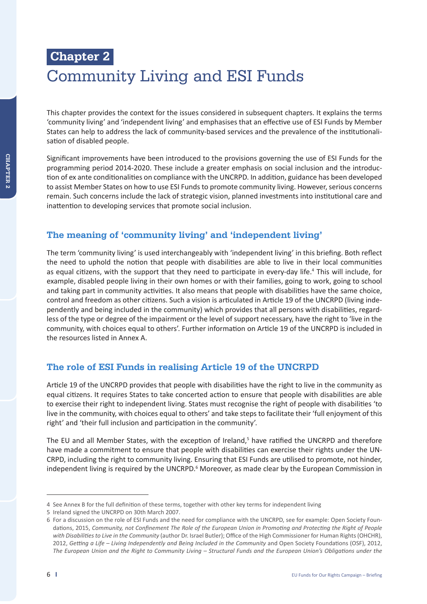# **Chapter 2**  Community Living and ESI Funds

This chapter provides the context for the issues considered in subsequent chapters. It explains the terms 'community living' and 'independent living' and emphasises that an effective use of ESI Funds by Member States can help to address the lack of community-based services and the prevalence of the institutionalisation of disabled people.

Significant improvements have been introduced to the provisions governing the use of ESI Funds for the programming period 2014-2020. These include a greater emphasis on social inclusion and the introduction of ex ante conditionalities on compliance with the UNCRPD. In addition, guidance has been developed to assist Member States on how to use ESI Funds to promote community living. However, serious concerns remain. Such concerns include the lack of strategic vision, planned investments into institutional care and inattention to developing services that promote social inclusion.

# **The meaning of 'community living' and 'independent living'**

The term 'community living' is used interchangeably with 'independent living' in this briefing. Both reflect the need to uphold the notion that people with disabilities are able to live in their local communities as equal citizens, with the support that they need to participate in every-day life.<sup>4</sup> This will include, for example, disabled people living in their own homes or with their families, going to work, going to school and taking part in community activities. It also means that people with disabilities have the same choice, control and freedom as other citizens. Such a vision is articulated in Article 19 of the UNCRPD (living independently and being included in the community) which provides that all persons with disabilities, regardless of the type or degree of the impairment or the level of support necessary, have the right to 'live in the community, with choices equal to others'. Further information on Article 19 of the UNCRPD is included in the resources listed in Annex A.

# **The role of ESI Funds in realising Article 19 of the UNCRPD**

Article 19 of the UNCRPD provides that people with disabilities have the right to live in the community as equal citizens. It requires States to take concerted action to ensure that people with disabilities are able to exercise their right to independent living. States must recognise the right of people with disabilities 'to live in the community, with choices equal to others' and take steps to facilitate their 'full enjoyment of this right' and 'their full inclusion and participation in the community'.

The EU and all Member States, with the exception of Ireland,<sup>5</sup> have ratified the UNCRPD and therefore have made a commitment to ensure that people with disabilities can exercise their rights under the UN-CRPD, including the right to community living. Ensuring that ESI Funds are utilised to promote, not hinder, independent living is required by the UNCRPD.<sup>6</sup> Moreover, as made clear by the European Commission in

<sup>4</sup> See Annex B for the full definition of these terms, together with other key terms for independent living

<sup>5</sup> Ireland signed the UNCRPD on 30th March 2007.

<sup>6</sup> For a discussion on the role of ESI Funds and the need for compliance with the UNCRPD, see for example: Open Society Foundations, 2015, *Community, not Confinement The Role of the European Union in Promoting and Protecting the Right of People with Disabilities to Live in the Community* (author Dr. Israel Butler); Office of the High Commissioner for Human Rights (OHCHR), 2012, *Getting a Life – Living Independently and Being Included in the Community* and Open Society Foundations (OSF), 2012, *The European Union and the Right to Community Living – Structural Funds and the European Union's Obligations under the*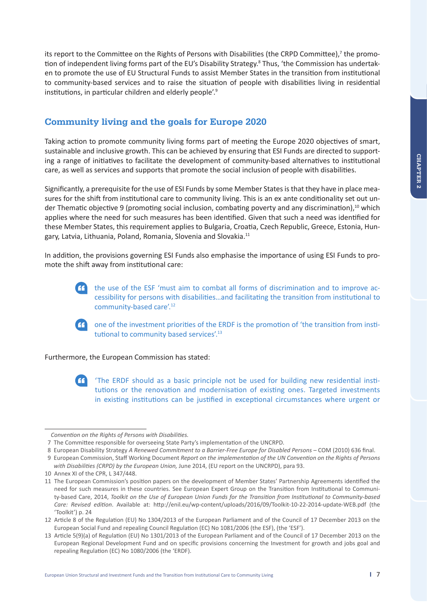its report to the Committee on the Rights of Persons with Disabilities (the CRPD Committee),<sup>7</sup> the promotion of independent living forms part of the EU's Disability Strategy.<sup>8</sup> Thus, 'the Commission has undertaken to promote the use of EU Structural Funds to assist Member States in the transition from institutional to community-based services and to raise the situation of people with disabilities living in residential institutions, in particular children and elderly people'.9

# **Community living and the goals for Europe 2020**

Taking action to promote community living forms part of meeting the Europe 2020 objectives of smart, sustainable and inclusive growth. This can be achieved by ensuring that ESI Funds are directed to supporting a range of initiatives to facilitate the development of community-based alternatives to institutional care, as well as services and supports that promote the social inclusion of people with disabilities.

Significantly, a prerequisite for the use of ESI Funds by some Member States is that they have in place measures for the shift from institutional care to community living. This is an ex ante conditionality set out under Thematic objective 9 (promoting social inclusion, combating poverty and any discrimination),<sup>10</sup> which applies where the need for such measures has been identified. Given that such a need was identified for these Member States, this requirement applies to Bulgaria, Croatia, Czech Republic, Greece, Estonia, Hungary, Latvia, Lithuania, Poland, Romania, Slovenia and Slovakia.11

In addition, the provisions governing ESI Funds also emphasise the importance of using ESI Funds to promote the shift away from institutional care:

> the use of the ESF 'must aim to combat all forms of discrimination and to improve accessibility for persons with disabilities…and facilitating the transition from institutional to community-based care'.<sup>12</sup>



 one of the investment priorities of the ERDF is the promotion of 'the transition from institutional to community based services'.<sup>13</sup>

Furthermore, the European Commission has stated:

 'The ERDF should as a basic principle not be used for building new residential institutions or the renovation and modernisation of existing ones. Targeted investments in existing institutions can be justified in exceptional circumstances where urgent or

*Convention on the Rights of Persons with Disabilities.*

 <sup>7</sup> The Committee responsible for overseeing State Party's implementation of the UNCRPD.

 <sup>8</sup> European Disability Strategy *A Renewed Commitment to a Barrier-Free Europe for Disabled Persons* – COM (2010) 636 final.

 <sup>9</sup> European Commission, Staff Working Document *Report on the implementation of the UN Convention on the Rights of Persons with Disabilities (CRPD) by the European Union,* June 2014, (EU report on the UNCRPD), para 93.

<sup>10</sup> Annex XI of the CPR, L 347/448.

<sup>11</sup> The European Commission's position papers on the development of Member States' Partnership Agreements identified the need for such measures in these countries. See European Expert Group on the Transition from Institutional to Community-based Care, 2014, *Toolkit on the Use of European Union Funds for the Transition from Institutional to Community-based Care: Revised edition*. Available at: http://enil.eu/wp-content/uploads/2016/09/Toolkit-10-22-2014-update-WEB.pdf (the 'Toolkit') p. 24

<sup>12</sup> Article 8 of the Regulation (EU) No 1304/2013 of the European Parliament and of the Council of 17 December 2013 on the European Social Fund and repealing Council Regulation (EC) No 1081/2006 (the ESF), (the 'ESF').

<sup>13</sup> Article 5(9)(a) of Regulation (EU) No 1301/2013 of the European Parliament and of the Council of 17 December 2013 on the European Regional Development Fund and on specific provisions concerning the Investment for growth and jobs goal and repealing Regulation (EC) No 1080/2006 (the 'ERDF).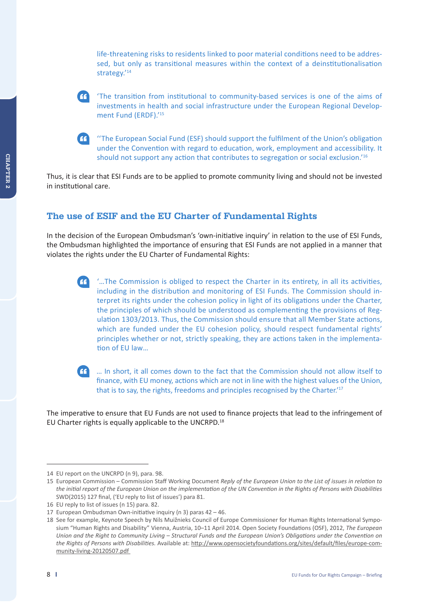life-threatening risks to residents linked to poor material conditions need to be addressed, but only as transitional measures within the context of a deinstitutionalisation strategy.'<sup>14</sup>

 'The transition from institutional to community-based services is one of the aims of investments in health and social infrastructure under the European Regional Development Fund (ERDF).' 15

 ''The European Social Fund (ESF) should support the fulfilment of the Union's obligation under the Convention with regard to education, work, employment and accessibility. It should not support any action that contributes to segregation or social exclusion.<sup>16</sup>

Thus, it is clear that ESI Funds are to be applied to promote community living and should not be invested in institutional care.

# **The use of ESIF and the EU Charter of Fundamental Rights**

In the decision of the European Ombudsman's 'own-initiative inquiry' in relation to the use of ESI Funds, the Ombudsman highlighted the importance of ensuring that ESI Funds are not applied in a manner that violates the rights under the EU Charter of Fundamental Rights:

 '…The Commission is obliged to respect the Charter in its entirety, in all its activities, including in the distribution and monitoring of ESI Funds. The Commission should interpret its rights under the cohesion policy in light of its obligations under the Charter, the principles of which should be understood as complementing the provisions of Regulation 1303/2013. Thus, the Commission should ensure that all Member State actions, which are funded under the EU cohesion policy, should respect fundamental rights' principles whether or not, strictly speaking, they are actions taken in the implementation of EU law…



 … In short, it all comes down to the fact that the Commission should not allow itself to finance, with EU money, actions which are not in line with the highest values of the Union, that is to say, the rights, freedoms and principles recognised by the Charter.'17

The imperative to ensure that EU Funds are not used to finance projects that lead to the infringement of EU Charter rights is equally applicable to the UNCRPD.18

<sup>14</sup> EU report on the UNCRPD (n 9), para. 98.

<sup>15</sup> European Commission – Commission Staff Working Document *Reply of the European Union to the List of issues in relation to the initial report of the European Union on the implementation of the UN Convention in the Rights of Persons with Disabilities*  SWD(2015) 127 final, ('EU reply to list of issues') para 81.

<sup>16</sup> EU reply to list of issues (n 15) para. 82.

<sup>17</sup> European Ombudsman Own-initiative inquiry (n 3) paras 42 – 46.

<sup>18</sup> See for example, Keynote Speech by Nils Muižnieks Council of Europe Commissioner for Human Rights International Symposium "Human Rights and Disability" Vienna, Austria, 10–11 April 2014. Open Society Foundations (OSF), 2012, *The European Union and the Right to Community Living – Structural Funds and the European Union's Obligations under the Convention on the Rights of Persons with Disabilities.* Available at: http://www.opensocietyfoundations.org/sites/default/files/europe-community-living-20120507.pdf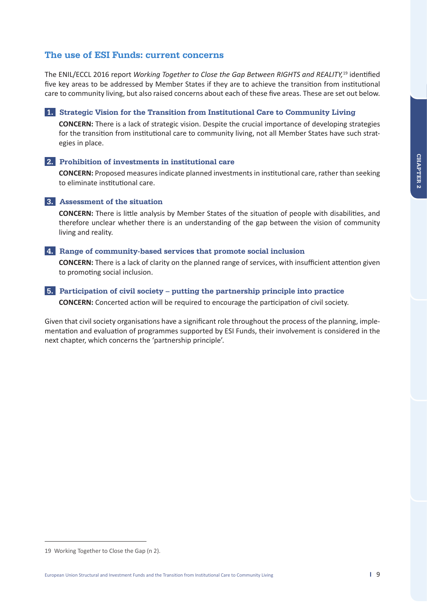## **The use of ESI Funds: current concerns**

The ENIL/ECCL 2016 report *Working Together to Close the Gap Between RIGHTS and REALITY,*19 identified five key areas to be addressed by Member States if they are to achieve the transition from institutional care to community living, but also raised concerns about each of these five areas. These are set out below.

 **1. Strategic Vision for the Transition from Institutional Care to Community Living** 

**CONCERN:** There is a lack of strategic vision. Despite the crucial importance of developing strategies for the transition from institutional care to community living, not all Member States have such strategies in place.

### **2. Prohibition of investments in institutional care**

**CONCERN:** Proposed measures indicate planned investments in institutional care, rather than seeking to eliminate institutional care.

### **3. Assessment of the situation**

**CONCERN:** There is little analysis by Member States of the situation of people with disabilities, and therefore unclear whether there is an understanding of the gap between the vision of community living and reality.

#### **4. Range of community-based services that promote social inclusion**

**CONCERN:** There is a lack of clarity on the planned range of services, with insufficient attention given to promoting social inclusion.

### **5. Participation of civil society – putting the partnership principle into practice CONCERN:** Concerted action will be required to encourage the participation of civil society.

Given that civil society organisations have a significant role throughout the process of the planning, implementation and evaluation of programmes supported by ESI Funds, their involvement is considered in the next chapter, which concerns the 'partnership principle'.

<sup>19</sup> Working Together to Close the Gap (n 2).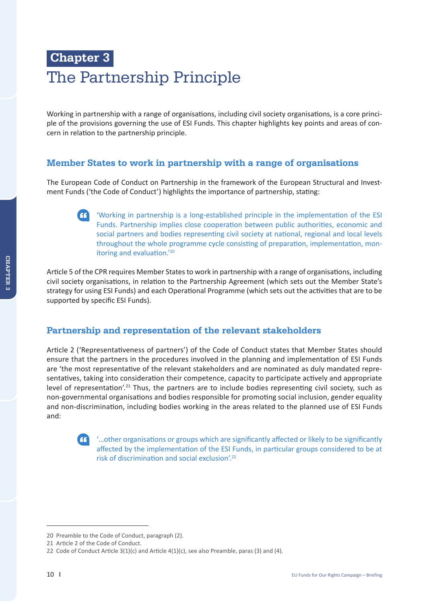# **Chapter 3**  The Partnership Principle

Working in partnership with a range of organisations, including civil society organisations, is a core principle of the provisions governing the use of ESI Funds. This chapter highlights key points and areas of concern in relation to the partnership principle.

## **Member States to work in partnership with a range of organisations**

The European Code of Conduct on Partnership in the framework of the European Structural and Investment Funds ('the Code of Conduct') highlights the importance of partnership, stating:

 'Working in partnership is a long-established principle in the implementation of the ESI Funds. Partnership implies close cooperation between public authorities, economic and social partners and bodies representing civil society at national, regional and local levels throughout the whole programme cycle consisting of preparation, implementation, monitoring and evaluation.'20

Article 5 of the CPR requires Member States to work in partnership with a range of organisations, including civil society organisations, in relation to the Partnership Agreement (which sets out the Member State's strategy for using ESI Funds) and each Operational Programme (which sets out the activities that are to be supported by specific ESI Funds).

## **Partnership and representation of the relevant stakeholders**

Article 2 ('Representativeness of partners') of the Code of Conduct states that Member States should ensure that the partners in the procedures involved in the planning and implementation of ESI Funds are 'the most representative of the relevant stakeholders and are nominated as duly mandated representatives, taking into consideration their competence, capacity to participate actively and appropriate level of representation'.<sup>21</sup> Thus, the partners are to include bodies representing civil society, such as non-governmental organisations and bodies responsible for promoting social inclusion, gender equality and non-discrimination, including bodies working in the areas related to the planned use of ESI Funds and:



 '…other organisations or groups which are significantly affected or likely to be significantly affected by the implementation of the ESI Funds, in particular groups considered to be at risk of discrimination and social exclusion'.22

<sup>20</sup> Preamble to the Code of Conduct, paragraph (2).

<sup>21</sup> Article 2 of the Code of Conduct.

<sup>22</sup> Code of Conduct Article  $3(1)(c)$  and Article  $4(1)(c)$ , see also Preamble, paras (3) and (4).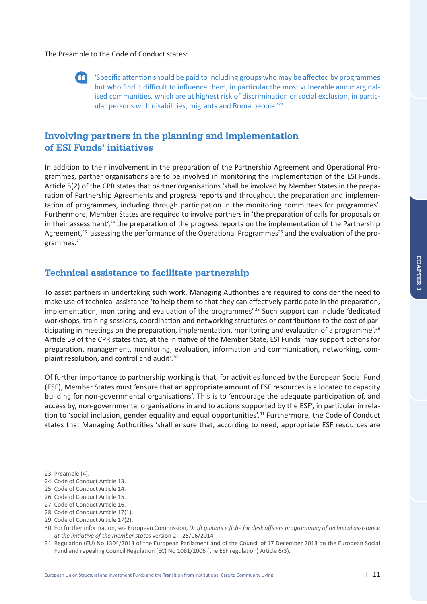The Preamble to the Code of Conduct states:



 'Specific attention should be paid to including groups who may be affected by programmes but who find it difficult to influence them, in particular the most vulnerable and marginalised communities, which are at highest risk of discrimination or social exclusion, in particular persons with disabilities, migrants and Roma people.<sup>'23</sup>

## **Involving partners in the planning and implementation of ESI Funds' initiatives**

In addition to their involvement in the preparation of the Partnership Agreement and Operational Programmes, partner organisations are to be involved in monitoring the implementation of the ESI Funds. Article 5(2) of the CPR states that partner organisations 'shall be involved by Member States in the preparation of Partnership Agreements and progress reports and throughout the preparation and implementation of programmes, including through participation in the monitoring committees for programmes'. Furthermore, Member States are required to involve partners in 'the preparation of calls for proposals or in their assessment', $24$  the preparation of the progress reports on the implementation of the Partnership Agreement.<sup>25</sup> assessing the performance of the Operational Programmes<sup>26</sup> and the evaluation of the programmes.<sup>27</sup>

## **Technical assistance to facilitate partnership**

To assist partners in undertaking such work, Managing Authorities are required to consider the need to make use of technical assistance 'to help them so that they can effectively participate in the preparation, implementation, monitoring and evaluation of the programmes'.<sup>28</sup> Such support can include 'dedicated workshops, training sessions, coordination and networking structures or contributions to the cost of participating in meetings on the preparation, implementation, monitoring and evaluation of a programme'.<sup>29</sup> Article 59 of the CPR states that, at the initiative of the Member State, ESI Funds 'may support actions for preparation, management, monitoring, evaluation, information and communication, networking, complaint resolution, and control and audit'.30

Of further importance to partnership working is that, for activities funded by the European Social Fund (ESF), Member States must 'ensure that an appropriate amount of ESF resources is allocated to capacity building for non-governmental organisations'. This is to 'encourage the adequate participation of, and access by, non-governmental organisations in and to actions supported by the ESF', in particular in relation to 'social inclusion, gender equality and equal opportunities'.<sup>31</sup> Furthermore, the Code of Conduct states that Managing Authorities 'shall ensure that, according to need, appropriate ESF resources are

<sup>23</sup> Preamble (4).

<sup>24</sup> Code of Conduct Article 13.

<sup>25</sup> Code of Conduct Article 14.

<sup>26</sup> Code of Conduct Article 15.

<sup>27</sup> Code of Conduct Article 16.

<sup>28</sup> Code of Conduct Article 17(1).

<sup>29</sup> Code of Conduct Article 17(2).

<sup>30</sup> For further information, see European Commission, *Draft guidance fiche for desk officers programming of technical assistance at the initiative of the member states* version 2 – 25/06/2014

<sup>31</sup> Regulation (EU) No 1304/2013 of the European Parliament and of the Council of 17 December 2013 on the European Social Fund and repealing Council Regulation (EC) No 1081/2006 (the ESF regulation) Article 6(3).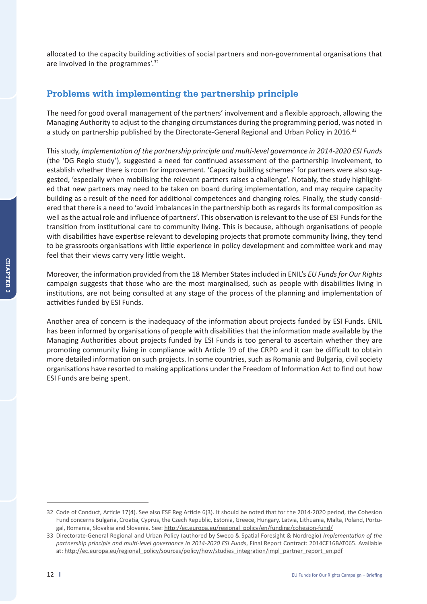allocated to the capacity building activities of social partners and non-governmental organisations that are involved in the programmes'.32

## **Problems with implementing the partnership principle**

The need for good overall management of the partners' involvement and a flexible approach, allowing the Managing Authority to adjust to the changing circumstances during the programming period, was noted in a study on partnership published by the Directorate-General Regional and Urban Policy in 2016.<sup>33</sup>

This study, *Implementation of the partnership principle and multi-level governance in 2014-2020 ESI Funds* (the 'DG Regio study'), suggested a need for continued assessment of the partnership involvement, to establish whether there is room for improvement. 'Capacity building schemes' for partners were also suggested, 'especially when mobilising the relevant partners raises a challenge'. Notably, the study highlighted that new partners may need to be taken on board during implementation, and may require capacity building as a result of the need for additional competences and changing roles. Finally, the study considered that there is a need to 'avoid imbalances in the partnership both as regards its formal composition as well as the actual role and influence of partners'. This observation is relevant to the use of ESI Funds for the transition from institutional care to community living. This is because, although organisations of people with disabilities have expertise relevant to developing projects that promote community living, they tend to be grassroots organisations with little experience in policy development and committee work and may feel that their views carry very little weight.

Moreover, the information provided from the 18 Member States included in ENIL's *EU Funds for Our Rights*  campaign suggests that those who are the most marginalised, such as people with disabilities living in institutions, are not being consulted at any stage of the process of the planning and implementation of activities funded by ESI Funds.

Another area of concern is the inadequacy of the information about projects funded by ESI Funds. ENIL has been informed by organisations of people with disabilities that the information made available by the Managing Authorities about projects funded by ESI Funds is too general to ascertain whether they are promoting community living in compliance with Article 19 of the CRPD and it can be difficult to obtain more detailed information on such projects. In some countries, such as Romania and Bulgaria, civil society organisations have resorted to making applications under the Freedom of Information Act to find out how ESI Funds are being spent.

<sup>32</sup> Code of Conduct, Article 17(4). See also ESF Reg Article 6(3). It should be noted that for the 2014-2020 period, the Cohesion Fund concerns Bulgaria, Croatia, Cyprus, the Czech Republic, Estonia, Greece, Hungary, Latvia, Lithuania, Malta, Poland, Portugal, Romania, Slovakia and Slovenia. See: http://ec.europa.eu/regional\_policy/en/funding/cohesion-fund/

<sup>33</sup> Directorate-General Regional and Urban Policy (authored by Sweco & Spatial Foresight & Nordregio) *Implementation of the partnership principle and multi-level governance in 2014-2020 ESI Funds*, Final Report Contract: 2014CE16BAT065. Available at: http://ec.europa.eu/regional\_policy/sources/policy/how/studies\_integration/impl\_partner\_report\_en.pdf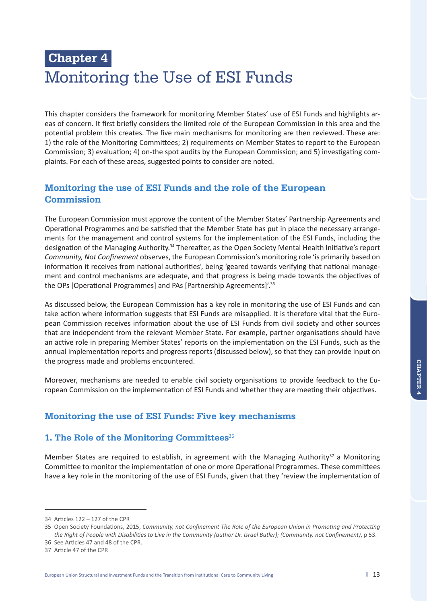# **Chapter 4**  Monitoring the Use of ESI Funds

This chapter considers the framework for monitoring Member States' use of ESI Funds and highlights areas of concern. It first briefly considers the limited role of the European Commission in this area and the potential problem this creates. The five main mechanisms for monitoring are then reviewed. These are: 1) the role of the Monitoring Committees; 2) requirements on Member States to report to the European Commission; 3) evaluation; 4) on-the spot audits by the European Commission; and 5) investigating complaints. For each of these areas, suggested points to consider are noted.

## **Monitoring the use of ESI Funds and the role of the European Commission**

The European Commission must approve the content of the Member States' Partnership Agreements and Operational Programmes and be satisfied that the Member State has put in place the necessary arrangements for the management and control systems for the implementation of the ESI Funds, including the designation of the Managing Authority.<sup>34</sup> Thereafter, as the Open Society Mental Health Initiative's report *Community, Not Confinement* observes, the European Commission's monitoring role 'is primarily based on information it receives from national authorities', being 'geared towards verifying that national management and control mechanisms are adequate, and that progress is being made towards the objectives of the OPs [Operational Programmes] and PAs [Partnership Agreements]'.35

As discussed below, the European Commission has a key role in monitoring the use of ESI Funds and can take action where information suggests that ESI Funds are misapplied. It is therefore vital that the European Commission receives information about the use of ESI Funds from civil society and other sources that are independent from the relevant Member State. For example, partner organisations should have an active role in preparing Member States' reports on the implementation on the ESI Funds, such as the annual implementation reports and progress reports (discussed below), so that they can provide input on the progress made and problems encountered.

Moreover, mechanisms are needed to enable civil society organisations to provide feedback to the European Commission on the implementation of ESI Funds and whether they are meeting their objectives.

## **Monitoring the use of ESI Funds: Five key mechanisms**

## **1. The Role of the Monitoring Committees**<sup>36</sup>

Member States are required to establish, in agreement with the Managing Authority<sup>37</sup> a Monitoring Committee to monitor the implementation of one or more Operational Programmes. These committees have a key role in the monitoring of the use of ESI Funds, given that they 'review the implementation of

<sup>34</sup> Articles 122 – 127 of the CPR

<sup>35</sup> Open Society Foundations, 2015, *Community, not Confinement The Role of the European Union in Promoting and Protecting the Right of People with Disabilities to Live in the Community (author Dr. Israel Butler); (Community, not Confinement)*, p 53.

<sup>36</sup> See Articles 47 and 48 of the CPR.

<sup>37</sup> Article 47 of the CPR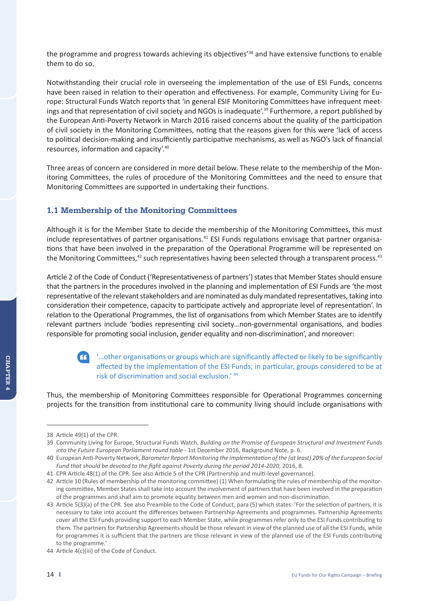the programme and progress towards achieving its objectives<sup>'38</sup> and have extensive functions to enable them to do so.

Notwithstanding their crucial role in overseeing the implementation of the use of ESI Funds, concerns have been raised in relation to their operation and effectiveness. For example, Community Living for Europe: Structural Funds Watch reports that 'in general ESIF Monitoring Committees have infrequent meetings and that representation of civil society and NGOs is inadequate'.<sup>39</sup> Furthermore, a report published by the European Anti-Poverty Network in March 2016 raised concerns about the quality of the participation of civil society in the Monitoring Committees, noting that the reasons given for this were 'lack of access to political decision-making and insufficiently participative mechanisms, as well as NGO's lack of financial resources, information and capacity'.40

Three areas of concern are considered in more detail below. These relate to the membership of the Monitoring Committees, the rules of procedure of the Monitoring Committees and the need to ensure that Monitoring Committees are supported in undertaking their functions.

## **1.1 Membership of the Monitoring Committees**

Although it is for the Member State to decide the membership of the Monitoring Committees, this must include representatives of partner organisations.<sup>41</sup> ESI Funds regulations envisage that partner organisations that have been involved in the preparation of the Operational Programme will be represented on the Monitoring Committees,<sup>42</sup> such representatives having been selected through a transparent process.<sup>43</sup>

Article 2 of the Code of Conduct ('Representativeness of partners') states that Member States should ensure that the partners in the procedures involved in the planning and implementation of ESI Funds are 'the most representative of the relevant stakeholders and are nominated as duly mandated representatives, taking into consideration their competence, capacity to participate actively and appropriate level of representation'. In relation to the Operational Programmes, the list of organisations from which Member States are to identify relevant partners include 'bodies representing civil society…non-governmental organisations, and bodies responsible for promoting social inclusion, gender equality and non-discrimination', and moreover:



## '…other organisations or groups which are significantly affected or likely to be significantly affected by the implementation of the ESI Funds; in particular, groups considered to be at risk of discrimination and social exclusion.' <sup>44</sup>

Thus, the membership of Monitoring Committees responsible for Operational Programmes concerning projects for the transition from institutional care to community living should include organisations with

<sup>38</sup> Article 49(1) of the CPR.

<sup>39</sup> Community Living for Europe, Structural Funds Watch, *Building on the Promise of European Structural and Investment Funds into the Future European Parliament round table* - 1st December 2016, Background Note, p. 6.

<sup>40</sup> European Anti-Poverty Network, *Barometer Report Monitoring the implementation of the (at least) 20% of the European Social Fund that should be devoted to the fight against Poverty during the period 2014-2020*, 2016, 8.

<sup>41</sup> CPR Article 48(1) of the CPR. See also Article 5 of the CPR (Partnership and multi-level governance).

<sup>42</sup> Article 10 (Rules of membership of the monitoring committee) (1) When formulating the rules of membership of the monitoring committee, Member States shall take into account the involvement of partners that have been involved in the preparation of the programmes and shall aim to promote equality between men and women and non-discrimination.

<sup>43</sup> Article 5(3)(a) of the CPR. See also Preamble to the Code of Conduct, para (5) which states: 'For the selection of partners, it is necessary to take into account the differences between Partnership Agreements and programmes. Partnership Agreements cover all the ESI Funds providing support to each Member State, while programmes refer only to the ESI Funds contributing to them. The partners for Partnership Agreements should be those relevant in view of the planned use of all the ESI Funds, while for programmes it is sufficient that the partners are those relevant in view of the planned use of the ESI Funds contributing to the programme.'

<sup>44</sup> Article 4(c)(iii) of the Code of Conduct.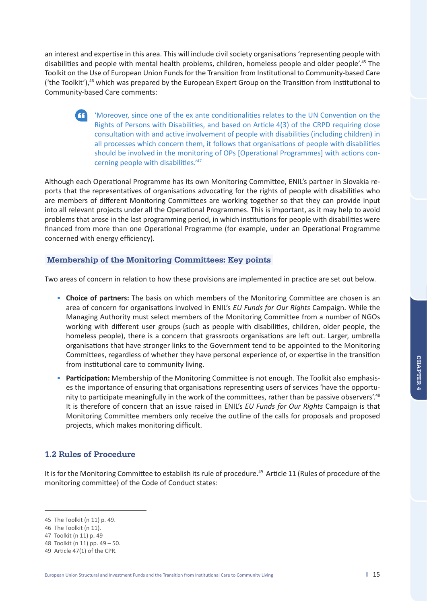an interest and expertise in this area. This will include civil society organisations 'representing people with disabilities and people with mental health problems, children, homeless people and older people'.45 The Toolkit on the Use of European Union Funds for the Transition from Institutional to Community-based Care ('the Toolkit'),<sup>46</sup> which was prepared by the European Expert Group on the Transition from Institutional to Community-based Care comments:

 'Moreover, since one of the ex ante conditionalities relates to the UN Convention on the Rights of Persons with Disabilities, and based on Article 4(3) of the CRPD requiring close consultation with and active involvement of people with disabilities (including children) in all processes which concern them, it follows that organisations of people with disabilities should be involved in the monitoring of OPs [Operational Programmes] with actions concerning people with disabilities.'47

Although each Operational Programme has its own Monitoring Committee, ENIL's partner in Slovakia reports that the representatives of organisations advocating for the rights of people with disabilities who are members of different Monitoring Committees are working together so that they can provide input into all relevant projects under all the Operational Programmes. This is important, as it may help to avoid problems that arose in the last programming period, in which institutions for people with disabilities were financed from more than one Operational Programme (for example, under an Operational Programme concerned with energy efficiency).

## **Membership of the Monitoring Committees: Key points**

Two areas of concern in relation to how these provisions are implemented in practice are set out below.

- • **Choice of partners:** The basis on which members of the Monitoring Committee are chosen is an area of concern for organisations involved in ENIL's *EU Funds for Our Rights* Campaign. While the Managing Authority must select members of the Monitoring Committee from a number of NGOs working with different user groups (such as people with disabilities, children, older people, the homeless people), there is a concern that grassroots organisations are left out. Larger, umbrella organisations that have stronger links to the Government tend to be appointed to the Monitoring Committees, regardless of whether they have personal experience of, or expertise in the transition from institutional care to community living.
- • **Participation:** Membership of the Monitoring Committee is not enough. The Toolkit also emphasises the importance of ensuring that organisations representing users of services 'have the opportunity to participate meaningfully in the work of the committees, rather than be passive observers'.<sup>48</sup> It is therefore of concern that an issue raised in ENIL's *EU Funds for Our Rights* Campaign is that Monitoring Committee members only receive the outline of the calls for proposals and proposed projects, which makes monitoring difficult.

## **1.2 Rules of Procedure**

It is for the Monitoring Committee to establish its rule of procedure.<sup>49</sup> Article 11 (Rules of procedure of the monitoring committee) of the Code of Conduct states:

<sup>45</sup> The Toolkit (n 11) p. 49.

<sup>46</sup> The Toolkit (n 11).

<sup>47</sup> Toolkit (n 11) p. 49

<sup>48</sup> Toolkit (n 11) pp. 49 – 50.

<sup>49</sup> Article 47(1) of the CPR.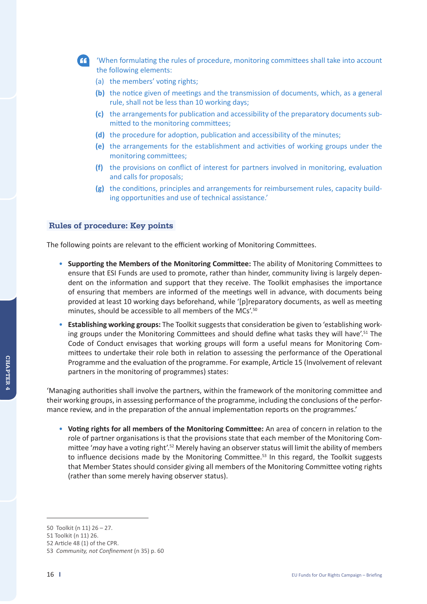

 'When formulating the rules of procedure, monitoring committees shall take into account the following elements:

- (a) the members' voting rights;
- **(b)** the notice given of meetings and the transmission of documents, which, as a general rule, shall not be less than 10 working days;
- **(c)** the arrangements for publication and accessibility of the preparatory documents submitted to the monitoring committees;
- **(d)** the procedure for adoption, publication and accessibility of the minutes;
- **(e)** the arrangements for the establishment and activities of working groups under the monitoring committees;
- **(f)** the provisions on conflict of interest for partners involved in monitoring, evaluation and calls for proposals;
- **(g)** the conditions, principles and arrangements for reimbursement rules, capacity building opportunities and use of technical assistance.'

#### **Rules of procedure: Key points**

The following points are relevant to the efficient working of Monitoring Committees.

- • **Supporting the Members of the Monitoring Committee:** The ability of Monitoring Committees to ensure that ESI Funds are used to promote, rather than hinder, community living is largely dependent on the information and support that they receive. The Toolkit emphasises the importance of ensuring that members are informed of the meetings well in advance, with documents being provided at least 10 working days beforehand, while '[p]reparatory documents, as well as meeting minutes, should be accessible to all members of the MCs'.50
- • **Establishing working groups:** The Toolkit suggests that consideration be given to 'establishing working groups under the Monitoring Committees and should define what tasks they will have'.<sup>51</sup> The Code of Conduct envisages that working groups will form a useful means for Monitoring Committees to undertake their role both in relation to assessing the performance of the Operational Programme and the evaluation of the programme. For example, Article 15 (Involvement of relevant partners in the monitoring of programmes) states:

'Managing authorities shall involve the partners, within the framework of the monitoring committee and their working groups, in assessing performance of the programme, including the conclusions of the performance review, and in the preparation of the annual implementation reports on the programmes.'

• **Voting rights for all members of the Monitoring Committee:** An area of concern in relation to the role of partner organisations is that the provisions state that each member of the Monitoring Committee '*may* have a voting right'.52 Merely having an observer status will limit the ability of members to influence decisions made by the Monitoring Committee.<sup>53</sup> In this regard, the Toolkit suggests that Member States should consider giving all members of the Monitoring Committee voting rights (rather than some merely having observer status).

<sup>50</sup> Toolkit (n 11) 26 – 27.

<sup>51</sup> Toolkit (n 11) 26.

<sup>52</sup> Article 48 (1) of the CPR.

<sup>53</sup> *Community, not Confinement* (n 35) p. 60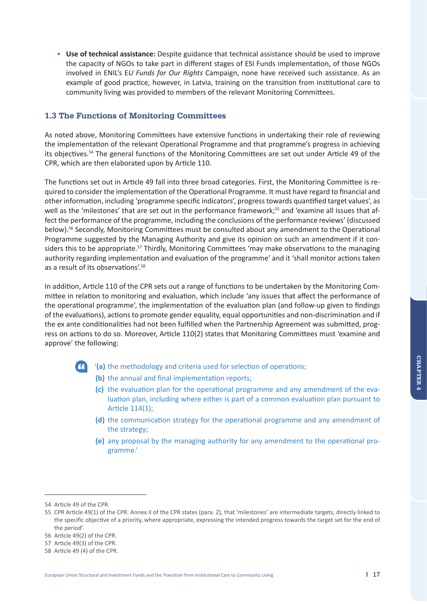• **Use of technical assistance:** Despite guidance that technical assistance should be used to improve the capacity of NGOs to take part in different stages of ESI Funds implementation, of those NGOs involved in ENIL's E*U Funds for Our Rights* Campaign, none have received such assistance. As an example of good practice, however, in Latvia, training on the transition from institutional care to community living was provided to members of the relevant Monitoring Committees.

## **1.3 The Functions of Monitoring Committees**

As noted above, Monitoring Committees have extensive functions in undertaking their role of reviewing the implementation of the relevant Operational Programme and that programme's progress in achieving its objectives.54 The general functions of the Monitoring Committees are set out under Article 49 of the CPR, which are then elaborated upon by Article 110.

The functions set out in Article 49 fall into three broad categories. First, the Monitoring Committee is required to consider the implementation of the Operational Programme. It must have regard to financial and other information, including 'programme specific indicators', progress towards quantified target values', as well as the 'milestones' that are set out in the performance framework;<sup>55</sup> and 'examine all issues that affect the performance of the programme, including the conclusions of the performance reviews' (discussed below).56 Secondly, Monitoring Committees must be consulted about any amendment to the Operational Programme suggested by the Managing Authority and give its opinion on such an amendment if it considers this to be appropriate.<sup>57</sup> Thirdly, Monitoring Committees 'may make observations to the managing authority regarding implementation and evaluation of the programme' and it 'shall monitor actions taken as a result of its observations'.58

In addition, Article 110 of the CPR sets out a range of functions to be undertaken by the Monitoring Committee in relation to monitoring and evaluation, which include 'any issues that affect the performance of the operational programme', the implementation of the evaluation plan (and follow-up given to findings of the evaluations), actions to promote gender equality, equal opportunities and non-discrimination and if the ex ante conditionalities had not been fulfilled when the Partnership Agreement was submitted, progress on actions to do so. Moreover, Article 110(2) states that Monitoring Committees must 'examine and approve' the following:

- 
- '**(a)** the methodology and criteria used for selection of operations;
	- **(b)** the annual and final implementation reports;
	- **(c)** the evaluation plan for the operational programme and any amendment of the evaluation plan, including where either is part of a common evaluation plan pursuant to Article 114(1);
	- **(d)** the communication strategy for the operational programme and any amendment of the strategy;
	- **(e)** any proposal by the managing authority for any amendment to the operational programme.'

<sup>54</sup> Article 49 of the CPR.

<sup>55</sup> CPR Article 49(1) of the CPR. Annex II of the CPR states (para. 2), that 'milestones' are intermediate targets, directly linked to the specific objective of a priority, where appropriate, expressing the intended progress towards the target set for the end of the period'.

<sup>56</sup> Article 49(2) of the CPR.

<sup>57</sup> Article 49(3) of the CPR.

<sup>58</sup> Article 49 (4) of the CPR.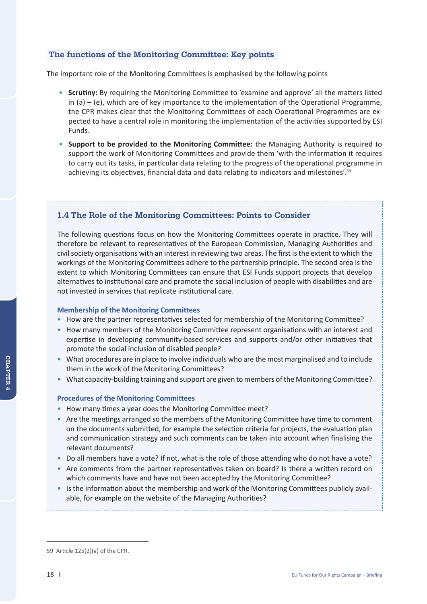### **The functions of the Monitoring Committee: Key points**

The important role of the Monitoring Committees is emphasised by the following points

- • **Scrutiny:** By requiring the Monitoring Committee to 'examine and approve' all the matters listed in  $(a) - (e)$ , which are of key importance to the implementation of the Operational Programme, the CPR makes clear that the Monitoring Committees of each Operational Programmes are expected to have a central role in monitoring the implementation of the activities supported by ESI Funds.
- • **Support to be provided to the Monitoring Committee:** the Managing Authority is required to support the work of Monitoring Committees and provide them 'with the information it requires to carry out its tasks, in particular data relating to the progress of the operational programme in achieving its objectives, financial data and data relating to indicators and milestones'.59

## **1.4 The Role of the Monitoring Committees: Points to Consider**

The following questions focus on how the Monitoring Committees operate in practice. They will therefore be relevant to representatives of the European Commission, Managing Authorities and civil society organisations with an interest in reviewing two areas. The first is the extent to which the workings of the Monitoring Committees adhere to the partnership principle. The second area is the extent to which Monitoring Committees can ensure that ESI Funds support projects that develop alternatives to institutional care and promote the social inclusion of people with disabilities and are not invested in services that replicate institutional care.

#### **Membership of the Monitoring Committees**

- •How are the partner representatives selected for membership of the Monitoring Committee?
- •How many members of the Monitoring Committee represent organisations with an interest and expertise in developing community-based services and supports and/or other initiatives that promote the social inclusion of disabled people?
- •What procedures are in place to involve individuals who are the most marginalised and to include them in the work of the Monitoring Committees?
- •What capacity-building training and support are given to members of the Monitoring Committee?

#### **Procedures of the Monitoring Committees**

- •How many times a year does the Monitoring Committee meet?
- Are the meetings arranged so the members of the Monitoring Committee have time to comment on the documents submitted, for example the selection criteria for projects, the evaluation plan and communication strategy and such comments can be taken into account when finalising the relevant documents?
- •Do all members have a vote? If not, what is the role of those attending who do not have a vote?
- •Are comments from the partner representatives taken on board? Is there a written record on which comments have and have not been accepted by the Monitoring Committee?
- •Is the information about the membership and work of the Monitoring Committees publicly available, for example on the website of the Managing Authorities?

<sup>59</sup> Article 125(2)(a) of the CPR.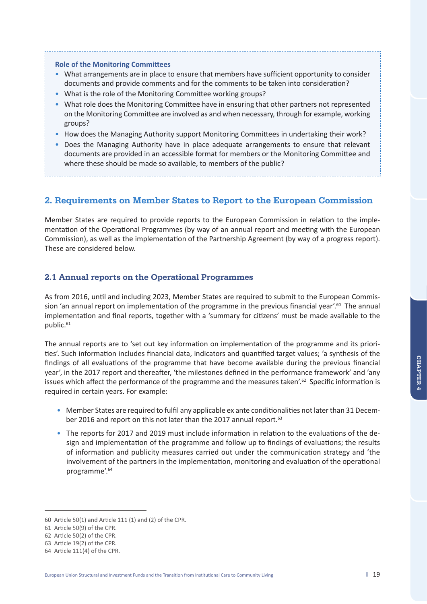#### **Role of the Monitoring Committees**

- •What arrangements are in place to ensure that members have sufficient opportunity to consider documents and provide comments and for the comments to be taken into consideration?
- What is the role of the Monitoring Committee working groups?
- •What role does the Monitoring Committee have in ensuring that other partners not represented on the Monitoring Committee are involved as and when necessary, through for example, working groups?
- How does the Managing Authority support Monitoring Committees in undertaking their work?
- •Does the Managing Authority have in place adequate arrangements to ensure that relevant documents are provided in an accessible format for members or the Monitoring Committee and where these should be made so available, to members of the public?

## **2. Requirements on Member States to Report to the European Commission**

Member States are required to provide reports to the European Commission in relation to the implementation of the Operational Programmes (by way of an annual report and meeting with the European Commission), as well as the implementation of the Partnership Agreement (by way of a progress report). These are considered below.

#### **2.1 Annual reports on the Operational Programmes**

As from 2016, until and including 2023, Member States are required to submit to the European Commission 'an annual report on implementation of the programme in the previous financial year'.<sup>60</sup> The annual implementation and final reports, together with a 'summary for citizens' must be made available to the public.<sup>61</sup>

The annual reports are to 'set out key information on implementation of the programme and its priorities'. Such information includes financial data, indicators and quantified target values; 'a synthesis of the findings of all evaluations of the programme that have become available during the previous financial year', in the 2017 report and thereafter, 'the milestones defined in the performance framework' and 'any issues which affect the performance of the programme and the measures taken'.<sup>62</sup> Specific information is required in certain years. For example:

- •Member States are required to fulfil any applicable ex ante conditionalities not later than 31 December 2016 and report on this not later than the 2017 annual report.<sup>63</sup>
- •The reports for 2017 and 2019 must include information in relation to the evaluations of the design and implementation of the programme and follow up to findings of evaluations; the results of information and publicity measures carried out under the communication strategy and 'the involvement of the partners in the implementation, monitoring and evaluation of the operational programme'.<sup>64</sup>

<sup>60</sup> Article 50(1) and Article 111 (1) and (2) of the CPR.

<sup>61</sup> Article 50(9) of the CPR.

<sup>62</sup> Article 50(2) of the CPR.

<sup>63</sup> Article 19(2) of the CPR.

<sup>64</sup> Article 111(4) of the CPR.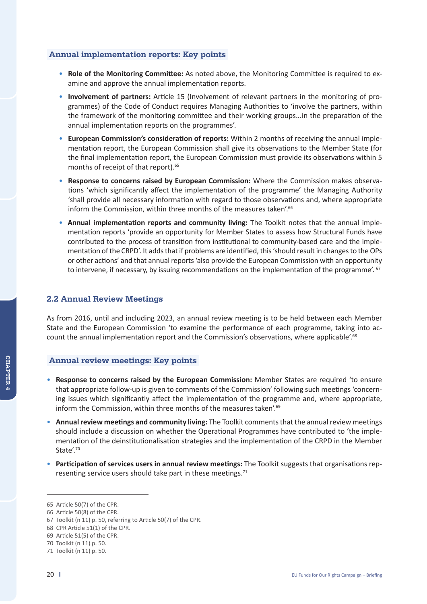#### **Annual implementation reports: Key points**

- • **Role of the Monitoring Committee:** As noted above, the Monitoring Committee is required to examine and approve the annual implementation reports.
- • **Involvement of partners:** Article 15 (Involvement of relevant partners in the monitoring of programmes) of the Code of Conduct requires Managing Authorities to 'involve the partners, within the framework of the monitoring committee and their working groups...in the preparation of the annual implementation reports on the programmes'.
- • **European Commission's consideration of reports:** Within 2 months of receiving the annual implementation report, the European Commission shall give its observations to the Member State (for the final implementation report, the European Commission must provide its observations within 5 months of receipt of that report).<sup>65</sup>
- • **Response to concerns raised by European Commission:** Where the Commission makes observations 'which significantly affect the implementation of the programme' the Managing Authority 'shall provide all necessary information with regard to those observations and, where appropriate inform the Commission, within three months of the measures taken'.<sup>66</sup>
- • **Annual implementation reports and community living:** The Toolkit notes that the annual implementation reports 'provide an opportunity for Member States to assess how Structural Funds have contributed to the process of transition from institutional to community-based care and the implementation of the CRPD'. It adds that if problems are identified, this 'should result in changes to the OPs or other actions' and that annual reports 'also provide the European Commission with an opportunity to intervene, if necessary, by issuing recommendations on the implementation of the programme'. <sup>67</sup>

### **2.2 Annual Review Meetings**

As from 2016, until and including 2023, an annual review meeting is to be held between each Member State and the European Commission 'to examine the performance of each programme, taking into account the annual implementation report and the Commission's observations, where applicable'.<sup>68</sup>

#### **Annual review meetings: Key points**

- • **Response to concerns raised by the European Commission:** Member States are required 'to ensure that appropriate follow-up is given to comments of the Commission' following such meetings 'concerning issues which significantly affect the implementation of the programme and, where appropriate, inform the Commission, within three months of the measures taken'.<sup>69</sup>
- • **Annual review meetings and community living:** The Toolkit comments that the annual review meetings should include a discussion on whether the Operational Programmes have contributed to 'the implementation of the deinstitutionalisation strategies and the implementation of the CRPD in the Member State'.<sup>70</sup>
- • **Participation of services users in annual review meetings:** The Toolkit suggests that organisations representing service users should take part in these meetings.<sup>71</sup>

**Chapt** CHAPTER 4

<sup>65</sup> Article 50(7) of the CPR.

<sup>66</sup> Article 50(8) of the CPR.

<sup>67</sup> Toolkit (n 11) p. 50, referring to Article 50(7) of the CPR.

<sup>68</sup> CPR Article 51(1) of the CPR.

<sup>69</sup> Article 51(5) of the CPR.

<sup>70</sup> Toolkit (n 11) p. 50.

<sup>71</sup> Toolkit (n 11) p. 50.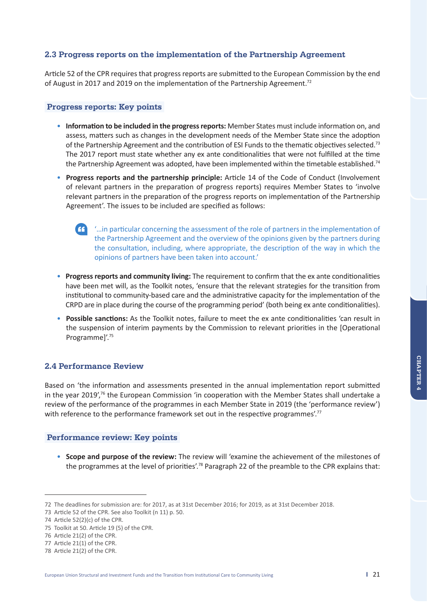## **2.3 Progress reports on the implementation of the Partnership Agreement**

Article 52 of the CPR requires that progress reports are submitted to the European Commission by the end of August in 2017 and 2019 on the implementation of the Partnership Agreement.<sup>72</sup>

#### **Progress reports: Key points**

- • **Information to be included in the progress reports:** Member States must include information on, and assess, matters such as changes in the development needs of the Member State since the adoption of the Partnership Agreement and the contribution of ESI Funds to the thematic objectives selected.73 The 2017 report must state whether any ex ante conditionalities that were not fulfilled at the time the Partnership Agreement was adopted, have been implemented within the timetable established.<sup>74</sup>
- • **Progress reports and the partnership principle:** Article 14 of the Code of Conduct (Involvement of relevant partners in the preparation of progress reports) requires Member States to 'involve relevant partners in the preparation of the progress reports on implementation of the Partnership Agreement'. The issues to be included are specified as follows:
	- '…in particular concerning the assessment of the role of partners in the implementation of the Partnership Agreement and the overview of the opinions given by the partners during the consultation, including, where appropriate, the description of the way in which the opinions of partners have been taken into account.'
- • **Progress reports and community living:** The requirement to confirm that the ex ante conditionalities have been met will, as the Toolkit notes, 'ensure that the relevant strategies for the transition from institutional to community-based care and the administrative capacity for the implementation of the CRPD are in place during the course of the programming period' (both being ex ante conditionalities).
- • **Possible sanctions:** As the Toolkit notes, failure to meet the ex ante conditionalities 'can result in the suspension of interim payments by the Commission to relevant priorities in the [Operational Programme]'.75

#### **2.4 Performance Review**

Based on 'the information and assessments presented in the annual implementation report submitted in the year  $2019'$ ,<sup>76</sup> the European Commission 'in cooperation with the Member States shall undertake a review of the performance of the programmes in each Member State in 2019 (the 'performance review') with reference to the performance framework set out in the respective programmes'.<sup>77</sup>

#### **Performance review: Key points**

• **Scope and purpose of the review:** The review will 'examine the achievement of the milestones of the programmes at the level of priorities'.<sup>78</sup> Paragraph 22 of the preamble to the CPR explains that:

<sup>72</sup> The deadlines for submission are: for 2017, as at 31st December 2016; for 2019, as at 31st December 2018.

<sup>73</sup> Article 52 of the CPR. See also Toolkit (n 11) p. 50.

<sup>74</sup> Article 52(2)(c) of the CPR.

<sup>75</sup> Toolkit at 50. Article 19 (5) of the CPR.

<sup>76</sup> Article 21(2) of the CPR.

<sup>77</sup> Article 21(1) of the CPR.

<sup>78</sup> Article 21(2) of the CPR.

European Union Structural and Investment Funds and the Transition from Institutional Care to Community Living **I** 21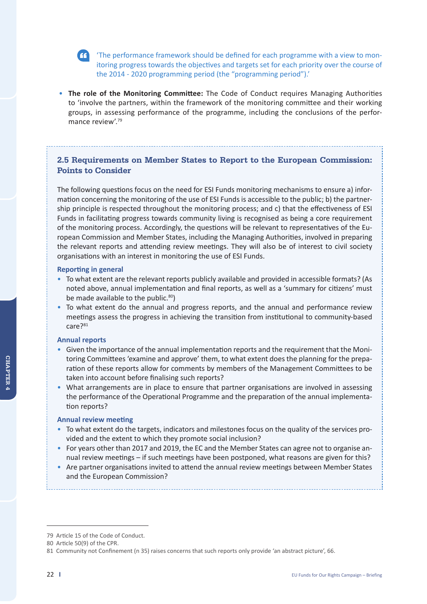

 'The performance framework should be defined for each programme with a view to monitoring progress towards the objectives and targets set for each priority over the course of the 2014 - 2020 programming period (the "programming period").'

• **The role of the Monitoring Committee:** The Code of Conduct requires Managing Authorities to 'involve the partners, within the framework of the monitoring committee and their working groups, in assessing performance of the programme, including the conclusions of the performance review'.79

## **2.5 Requirements on Member States to Report to the European Commission: Points to Consider**

The following questions focus on the need for ESI Funds monitoring mechanisms to ensure a) information concerning the monitoring of the use of ESI Funds is accessible to the public; b) the partnership principle is respected throughout the monitoring process; and c) that the effectiveness of ESI Funds in facilitating progress towards community living is recognised as being a core requirement of the monitoring process. Accordingly, the questions will be relevant to representatives of the European Commission and Member States, including the Managing Authorities, involved in preparing the relevant reports and attending review meetings. They will also be of interest to civil society organisations with an interest in monitoring the use of ESI Funds.

#### **Reporting in general**

- •To what extent are the relevant reports publicly available and provided in accessible formats? (As noted above, annual implementation and final reports, as well as a 'summary for citizens' must be made available to the public.<sup>80</sup>)
- To what extent do the annual and progress reports, and the annual and performance review meetings assess the progress in achieving the transition from institutional to community-based care?<sup>81</sup>

#### **Annual reports**

- •Given the importance of the annual implementation reports and the requirement that the Monitoring Committees 'examine and approve' them, to what extent does the planning for the preparation of these reports allow for comments by members of the Management Committees to be taken into account before finalising such reports?
- •What arrangements are in place to ensure that partner organisations are involved in assessing the performance of the Operational Programme and the preparation of the annual implementation reports?

#### **Annual review meeting**

- •To what extent do the targets, indicators and milestones focus on the quality of the services provided and the extent to which they promote social inclusion?
- •For years other than 2017 and 2019, the EC and the Member States can agree not to organise annual review meetings – if such meetings have been postponed, what reasons are given for this?
- •Are partner organisations invited to attend the annual review meetings between Member States and the European Commission?

<sup>79</sup> Article 15 of the Code of Conduct.

<sup>80</sup> Article 50(9) of the CPR.

<sup>81</sup> Community not Confinement (n 35) raises concerns that such reports only provide 'an abstract picture', 66.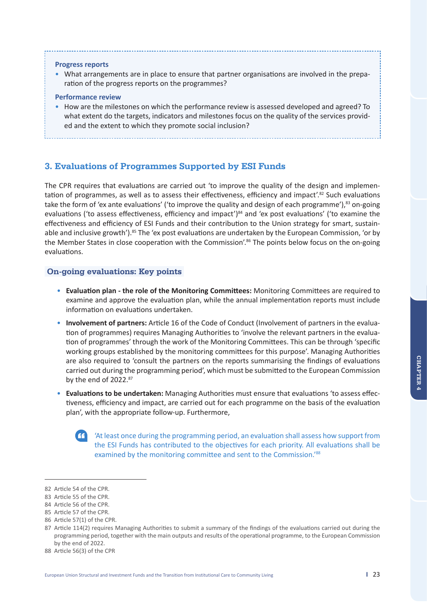#### **Progress reports**

•What arrangements are in place to ensure that partner organisations are involved in the preparation of the progress reports on the programmes?

#### **Performance review**

•How are the milestones on which the performance review is assessed developed and agreed? To what extent do the targets, indicators and milestones focus on the quality of the services provided and the extent to which they promote social inclusion?

**3. Evaluations of Programmes Supported by ESI Funds**

The CPR requires that evaluations are carried out 'to improve the quality of the design and implementation of programmes, as well as to assess their effectiveness, efficiency and impact<sup>',82</sup> Such evaluations take the form of 'ex ante evaluations' ('to improve the quality and design of each programme'),<sup>83</sup> on-going evaluations ('to assess effectiveness, efficiency and impact')<sup>84</sup> and 'ex post evaluations' ('to examine the effectiveness and efficiency of ESI Funds and their contribution to the Union strategy for smart, sustainable and inclusive growth').<sup>85</sup> The 'ex post evaluations are undertaken by the European Commission, 'or by the Member States in close cooperation with the Commission'.<sup>86</sup> The points below focus on the on-going evaluations.

#### **On-going evaluations: Key points**

- • **Evaluation plan the role of the Monitoring Committees:** Monitoring Committees are required to examine and approve the evaluation plan, while the annual implementation reports must include information on evaluations undertaken.
- • **Involvement of partners:** Article 16 of the Code of Conduct (Involvement of partners in the evaluation of programmes) requires Managing Authorities to 'involve the relevant partners in the evaluation of programmes' through the work of the Monitoring Committees. This can be through 'specific working groups established by the monitoring committees for this purpose'. Managing Authorities are also required to 'consult the partners on the reports summarising the findings of evaluations carried out during the programming period', which must be submitted to the European Commission by the end of 2022.<sup>87</sup>
- • **Evaluations to be undertaken:** Managing Authorities must ensure that evaluations 'to assess effectiveness, efficiency and impact, are carried out for each programme on the basis of the evaluation plan', with the appropriate follow-up. Furthermore,



 'At least once during the programming period, an evaluation shall assess how support from the ESI Funds has contributed to the objectives for each priority. All evaluations shall be examined by the monitoring committee and sent to the Commission.'<sup>88</sup>

<sup>82</sup> Article 54 of the CPR.

<sup>83</sup> Article 55 of the CPR.

<sup>84</sup> Article 56 of the CPR.

<sup>85</sup> Article 57 of the CPR.

<sup>86</sup> Article 57(1) of the CPR.

<sup>87</sup> Article 114(2) requires Managing Authorities to submit a summary of the findings of the evaluations carried out during the programming period, together with the main outputs and results of the operational programme, to the European Commission by the end of 2022.

<sup>88</sup> Article 56(3) of the CPR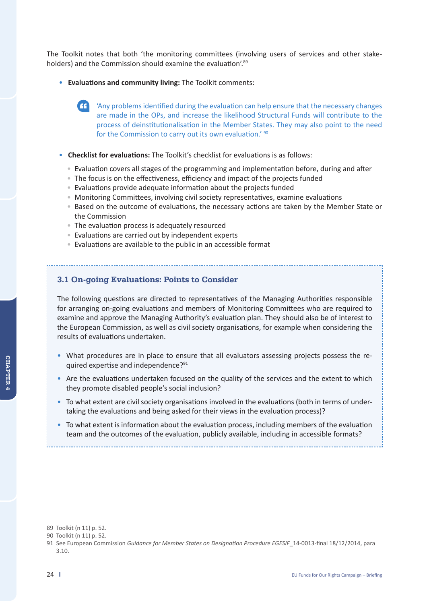The Toolkit notes that both 'the monitoring committees (involving users of services and other stakeholders) and the Commission should examine the evaluation'.89

- • **Evaluations and community living:** The Toolkit comments:
	- 'Any problems identified during the evaluation can help ensure that the necessary changes are made in the OPs, and increase the likelihood Structural Funds will contribute to the process of deinstitutionalisation in the Member States. They may also point to the need for the Commission to carry out its own evaluation.' 90
- • **Checklist for evaluations:** The Toolkit's checklist for evaluations is as follows:
	- Evaluation covers all stages of the programming and implementation before, during and after
	- The focus is on the effectiveness, efficiency and impact of the projects funded
	- Evaluations provide adequate information about the projects funded
	- Monitoring Committees, involving civil society representatives, examine evaluations
	- Based on the outcome of evaluations, the necessary actions are taken by the Member State or the Commission
	- The evaluation process is adequately resourced
	- Evaluations are carried out by independent experts
	- Evaluations are available to the public in an accessible format

## **3.1 On-going Evaluations: Points to Consider**

The following questions are directed to representatives of the Managing Authorities responsible for arranging on-going evaluations and members of Monitoring Committees who are required to examine and approve the Managing Authority's evaluation plan. They should also be of interest to the European Commission, as well as civil society organisations, for example when considering the results of evaluations undertaken.

- •What procedures are in place to ensure that all evaluators assessing projects possess the required expertise and independence?91
- •Are the evaluations undertaken focused on the quality of the services and the extent to which they promote disabled people's social inclusion?
- •To what extent are civil society organisations involved in the evaluations (both in terms of undertaking the evaluations and being asked for their views in the evaluation process)?
- •To what extent is information about the evaluation process, including members of the evaluation team and the outcomes of the evaluation, publicly available, including in accessible formats?

<sup>89</sup> Toolkit (n 11) p. 52.

<sup>90</sup> Toolkit (n 11) p. 52.

<sup>91</sup> See European Commission *Guidance for Member States on Designation Procedure EGESIF*\_14-0013-final 18/12/2014, para 3.10.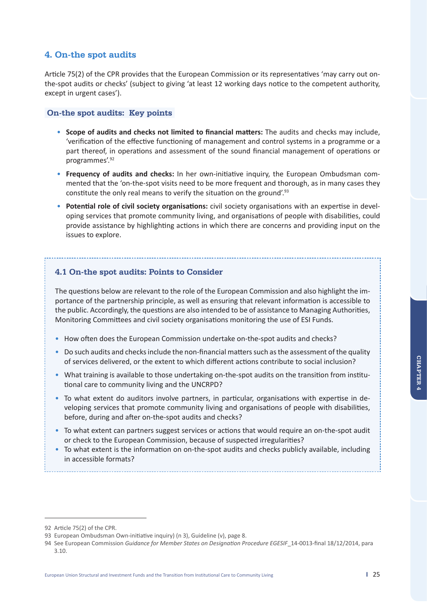## **4. On-the spot audits**

Article 75(2) of the CPR provides that the European Commission or its representatives 'may carry out onthe-spot audits or checks' (subject to giving 'at least 12 working days notice to the competent authority, except in urgent cases').

### **On-the spot audits: Key points**

- • **Scope of audits and checks not limited to financial matters:** The audits and checks may include, 'verification of the effective functioning of management and control systems in a programme or a part thereof, in operations and assessment of the sound financial management of operations or programmes'.92
- • **Frequency of audits and checks:** In her own-initiative inquiry, the European Ombudsman commented that the 'on-the-spot visits need to be more frequent and thorough, as in many cases they constitute the only real means to verify the situation on the ground'.93
- • **Potential role of civil society organisations:** civil society organisations with an expertise in developing services that promote community living, and organisations of people with disabilities, could provide assistance by highlighting actions in which there are concerns and providing input on the issues to explore.

## **4.1 On-the spot audits: Points to Consider**

The questions below are relevant to the role of the European Commission and also highlight the importance of the partnership principle, as well as ensuring that relevant information is accessible to the public. Accordingly, the questions are also intended to be of assistance to Managing Authorities, Monitoring Committees and civil society organisations monitoring the use of ESI Funds.

- •How often does the European Commission undertake on-the-spot audits and checks?
- •Do such audits and checks include the non-financial matters such as the assessment of the quality of services delivered, or the extent to which different actions contribute to social inclusion?
- •What training is available to those undertaking on-the-spot audits on the transition from institutional care to community living and the UNCRPD?
- •To what extent do auditors involve partners, in particular, organisations with expertise in developing services that promote community living and organisations of people with disabilities, before, during and after on-the-spot audits and checks?
- •To what extent can partners suggest services or actions that would require an on-the-spot audit or check to the European Commission, because of suspected irregularities?
- •To what extent is the information on on-the-spot audits and checks publicly available, including in accessible formats?

<sup>92</sup> Article 75(2) of the CPR.

<sup>93</sup> European Ombudsman Own-initiative inquiry) (n 3), Guideline (v), page 8.

<sup>94</sup> See European Commission *Guidance for Member States on Designation Procedure EGESIF*\_14-0013-final 18/12/2014, para 3.10.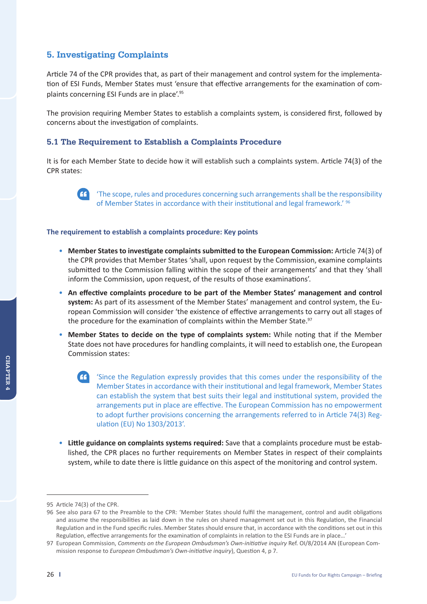## **5. Investigating Complaints**

Article 74 of the CPR provides that, as part of their management and control system for the implementation of ESI Funds, Member States must 'ensure that effective arrangements for the examination of complaints concerning ESI Funds are in place'.95

The provision requiring Member States to establish a complaints system, is considered first, followed by concerns about the investigation of complaints.

### **5.1 The Requirement to Establish a Complaints Procedure**

It is for each Member State to decide how it will establish such a complaints system. Article 74(3) of the CPR states:



 'The scope, rules and procedures concerning such arrangements shall be the responsibility of Member States in accordance with their institutional and legal framework.<sup>' 96</sup>

#### **The requirement to establish a complaints procedure: Key points**

- • **Member States to investigate complaints submitted to the European Commission:** Article 74(3) of the CPR provides that Member States 'shall, upon request by the Commission, examine complaints submitted to the Commission falling within the scope of their arrangements' and that they 'shall inform the Commission, upon request, of the results of those examinations'.
- • **An effective complaints procedure to be part of the Member States' management and control system:** As part of its assessment of the Member States' management and control system, the European Commission will consider 'the existence of effective arrangements to carry out all stages of the procedure for the examination of complaints within the Member State.<sup>97</sup>
- • **Member States to decide on the type of complaints system:** While noting that if the Member State does not have procedures for handling complaints, it will need to establish one, the European Commission states:
	- 'Since the Regulation expressly provides that this comes under the responsibility of the Member States in accordance with their institutional and legal framework, Member States can establish the system that best suits their legal and institutional system, provided the arrangements put in place are effective. The European Commission has no empowerment to adopt further provisions concerning the arrangements referred to in Article 74(3) Regulation (EU) No 1303/2013'.
- • **Little guidance on complaints systems required:** Save that a complaints procedure must be established, the CPR places no further requirements on Member States in respect of their complaints system, while to date there is little guidance on this aspect of the monitoring and control system.

<sup>95</sup> Article 74(3) of the CPR.

<sup>96</sup> See also para 67 to the Preamble to the CPR: 'Member States should fulfil the management, control and audit obligations and assume the responsibilities as laid down in the rules on shared management set out in this Regulation, the Financial Regulation and in the Fund specific rules. Member States should ensure that, in accordance with the conditions set out in this Regulation, effective arrangements for the examination of complaints in relation to the ESI Funds are in place…'

<sup>97</sup> European Commission, *Comments on the European Ombudsman's Own-initiative inquiry* Ref. OI/8/2014 AN (European Commission response to *European Ombudsman's Own-initiative inquiry*), Question 4, p 7.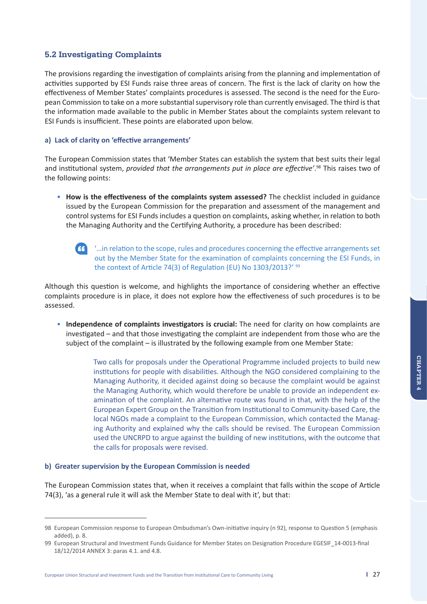## **5.2 Investigating Complaints**

The provisions regarding the investigation of complaints arising from the planning and implementation of activities supported by ESI Funds raise three areas of concern. The first is the lack of clarity on how the effectiveness of Member States' complaints procedures is assessed. The second is the need for the European Commission to take on a more substantial supervisory role than currently envisaged. The third is that the information made available to the public in Member States about the complaints system relevant to ESI Funds is insufficient. These points are elaborated upon below.

#### **a) Lack of clarity on 'effective arrangements'**

The European Commission states that 'Member States can establish the system that best suits their legal and institutional system, *provided that the arrangements put in place are effective'*. 98 This raises two of the following points:

- • **How is the effectiveness of the complaints system assessed?** The checklist included in guidance issued by the European Commission for the preparation and assessment of the management and control systems for ESI Funds includes a question on complaints, asking whether, in relation to both the Managing Authority and the Certifying Authority, a procedure has been described:
	-

 '…in relation to the scope, rules and procedures concerning the effective arrangements set out by the Member State for the examination of complaints concerning the ESI Funds, in the context of Article 74(3) of Regulation (EU) No 1303/2013?' <sup>99</sup>

Although this question is welcome, and highlights the importance of considering whether an effective complaints procedure is in place, it does not explore how the effectiveness of such procedures is to be assessed.

• **Independence of complaints investigators is crucial:** The need for clarity on how complaints are investigated – and that those investigating the complaint are independent from those who are the subject of the complaint – is illustrated by the following example from one Member State:

> Two calls for proposals under the Operational Programme included projects to build new institutions for people with disabilities. Although the NGO considered complaining to the Managing Authority, it decided against doing so because the complaint would be against the Managing Authority, which would therefore be unable to provide an independent examination of the complaint. An alternative route was found in that, with the help of the European Expert Group on the Transition from Institutional to Community-based Care, the local NGOs made a complaint to the European Commission, which contacted the Managing Authority and explained why the calls should be revised. The European Commission used the UNCRPD to argue against the building of new institutions, with the outcome that the calls for proposals were revised.

#### **b) Greater supervision by the European Commission is needed**

The European Commission states that, when it receives a complaint that falls within the scope of Article 74(3), 'as a general rule it will ask the Member State to deal with it', but that:

<sup>98</sup> European Commission response to European Ombudsman's Own-initiative inquiry (n 92), response to Question 5 (emphasis added), p. 8.

<sup>99</sup> European Structural and Investment Funds Guidance for Member States on Designation Procedure EGESIF\_14-0013-final 18/12/2014 ANNEX 3: paras 4.1. and 4.8.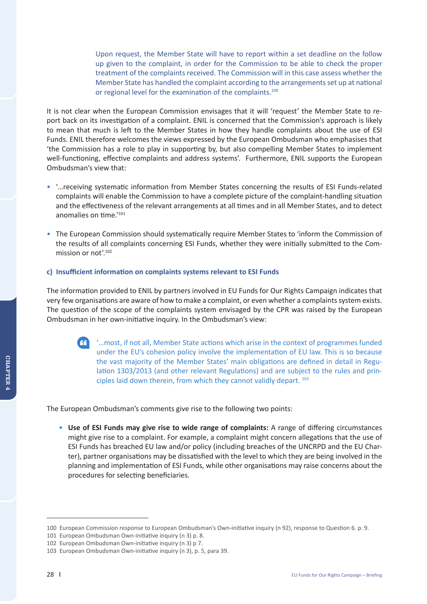Upon request, the Member State will have to report within a set deadline on the follow up given to the complaint, in order for the Commission to be able to check the proper treatment of the complaints received. The Commission will in this case assess whether the Member State has handled the complaint according to the arrangements set up at national or regional level for the examination of the complaints.<sup>100</sup>

It is not clear when the European Commission envisages that it will 'request' the Member State to report back on its investigation of a complaint. ENIL is concerned that the Commission's approach is likely to mean that much is left to the Member States in how they handle complaints about the use of ESI Funds. ENIL therefore welcomes the views expressed by the European Ombudsman who emphasises that 'the Commission has a role to play in supporting by, but also compelling Member States to implement well-functioning, effective complaints and address systems'. Furthermore, ENIL supports the European Ombudsman's view that:

- •'…receiving systematic information from Member States concerning the results of ESI Funds-related complaints will enable the Commission to have a complete picture of the complaint-handling situation and the effectiveness of the relevant arrangements at all times and in all Member States, and to detect anomalies on time.'101
- •The European Commission should systematically require Member States to 'inform the Commission of the results of all complaints concerning ESI Funds, whether they were initially submitted to the Commission or not'.<sup>102</sup>

#### **c) Insufficient information on complaints systems relevant to ESI Funds**

The information provided to ENIL by partners involved in EU Funds for Our Rights Campaign indicates that very few organisations are aware of how to make a complaint, or even whether a complaints system exists. The question of the scope of the complaints system envisaged by the CPR was raised by the European Ombudsman in her own-initiative inquiry. In the Ombudsman's view:

 '…most, if not all, Member State actions which arise in the context of programmes funded under the EU's cohesion policy involve the implementation of EU law. This is so because the vast majority of the Member States' main obligations are defined in detail in Regulation 1303/2013 (and other relevant Regulations) and are subject to the rules and principles laid down therein, from which they cannot validly depart. 103

The European Ombudsman's comments give rise to the following two points:

• **Use of ESI Funds may give rise to wide range of complaints:** A range of differing circumstances might give rise to a complaint. For example, a complaint might concern allegations that the use of ESI Funds has breached EU law and/or policy (including breaches of the UNCRPD and the EU Charter), partner organisations may be dissatisfied with the level to which they are being involved in the planning and implementation of ESI Funds, while other organisations may raise concerns about the procedures for selecting beneficiaries.

<sup>100</sup> European Commission response to European Ombudsman's Own-initiative inquiry (n 92), response to Question 6. p. 9.

<sup>101</sup> European Ombudsman Own-initiative inquiry (n 3) p. 8.

<sup>102</sup> European Ombudsman Own-initiative inquiry (n 3) p 7.

<sup>103</sup> European Ombudsman Own-initiative inquiry (n 3), p. 5, para 39.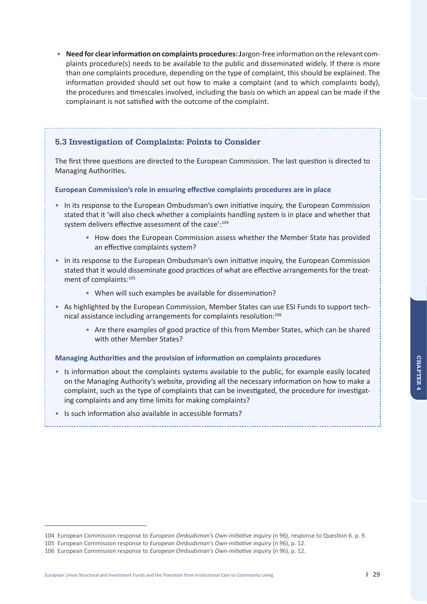**Chapt CHAPTER 4** 

• **Need for clear information on complaints procedures: J**argon-free information on the relevant complaints procedure(s) needs to be available to the public and disseminated widely. If there is more than one complaints procedure, depending on the type of complaint, this should be explained. The information provided should set out how to make a complaint (and to which complaints body), the procedures and timescales involved, including the basis on which an appeal can be made if the complainant is not satisfied with the outcome of the complaint.

### **5.3 Investigation of Complaints: Points to Consider**

The first three questions are directed to the European Commission. The last question is directed to Managing Authorities.

#### **European Commission's role in ensuring effective complaints procedures are in place**

- •In its response to the European Ombudsman's own initiative inquiry, the European Commission stated that it 'will also check whether a complaints handling system is in place and whether that system delivers effective assessment of the case':<sup>104</sup>
	- How does the European Commission assess whether the Member State has provided an effective complaints system?
- •In its response to the European Ombudsman's own initiative inquiry, the European Commission stated that it would disseminate good practices of what are effective arrangements for the treatment of complaints:<sup>105</sup>
	- When will such examples be available for dissemination?
- •As highlighted by the European Commission, Member States can use ESI Funds to support technical assistance including arrangements for complaints resolution:<sup>106</sup>
	- *•* Are there examples of good practice of this from Member States, which can be shared with other Member States?

#### **Managing Authorities and the provision of information on complaints procedures**

- •Is information about the complaints systems available to the public, for example easily located on the Managing Authority's website, providing all the necessary information on how to make a complaint, such as the type of complaints that can be investigated, the procedure for investigating complaints and any time limits for making complaints?
- •Is such information also available in accessible formats?

<sup>104</sup> European Commission response to *European Ombudsman's Own-initiative inquiry* (n 96), response to Question 6. p. 9.

<sup>105</sup> European Commission response to *European Ombudsman's Own-initiative inquiry* (n 96), p. 12.

<sup>106</sup> European Commission response to *European Ombudsman's Own-initiative inquiry* (n 96), p. 12.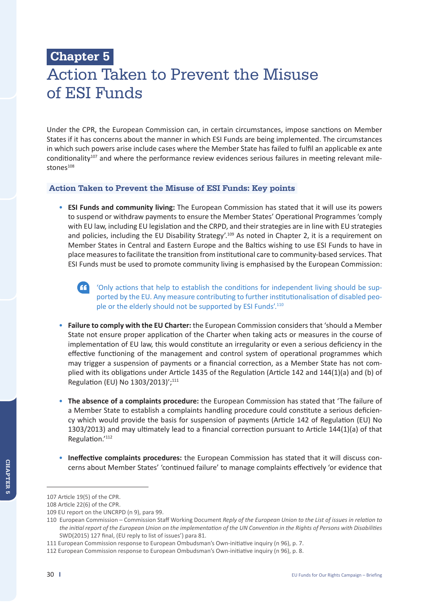# **Chapter 5**  Action Taken to Prevent the Misuse of ESI Funds

Under the CPR, the European Commission can, in certain circumstances, impose sanctions on Member States if it has concerns about the manner in which ESI Funds are being implemented. The circumstances in which such powers arise include cases where the Member State has failed to fulfil an applicable ex ante conditionality<sup>107</sup> and where the performance review evidences serious failures in meeting relevant milestones<sup>108</sup>

### **Action Taken to Prevent the Misuse of ESI Funds: Key points**

- **ESI Funds and community living:** The European Commission has stated that it will use its powers to suspend or withdraw payments to ensure the Member States' Operational Programmes 'comply with EU law, including EU legislation and the CRPD, and their strategies are in line with EU strategies and policies, including the EU Disability Strategy'.<sup>109</sup> As noted in Chapter 2, it is a requirement on Member States in Central and Eastern Europe and the Baltics wishing to use ESI Funds to have in place measures to facilitate the transition from institutional care to community-based services. That ESI Funds must be used to promote community living is emphasised by the European Commission:
	-

 'Only actions that help to establish the conditions for independent living should be supported by the EU. Any measure contributing to further institutionalisation of disabled people or the elderly should not be supported by ESI Funds'.<sup>110</sup>

- **Failure to comply with the EU Charter:** the European Commission considers that 'should a Member State not ensure proper application of the Charter when taking acts or measures in the course of implementation of EU law, this would constitute an irregularity or even a serious deficiency in the effective functioning of the management and control system of operational programmes which may trigger a suspension of payments or a financial correction, as a Member State has not complied with its obligations under Article 1435 of the Regulation (Article 142 and 144(1)(a) and (b) of Regulation (EU) No 1303/2013)';111
- **The absence of a complaints procedure:** the European Commission has stated that 'The failure of a Member State to establish a complaints handling procedure could constitute a serious deficiency which would provide the basis for suspension of payments (Article 142 of Regulation (EU) No 1303/2013) and may ultimately lead to a financial correction pursuant to Article 144(1)(a) of that Regulation.'112
- **Ineffective complaints procedures:** the European Commission has stated that it will discuss concerns about Member States' 'continued failure' to manage complaints effectively 'or evidence that

<sup>107</sup> Article 19(5) of the CPR.

<sup>108</sup> Article 22(6) of the CPR.

<sup>109</sup> EU report on the UNCRPD (n 9), para 99.

<sup>110</sup> European Commission – Commission Staff Working Document *Reply of the European Union to the List of issues in relation to the initial report of the European Union on the implementation of the UN Convention in the Rights of Persons with Disabilities*  SWD(2015) 127 final, (EU reply to list of issues') para 81.

<sup>111</sup> European Commission response to European Ombudsman's Own-initiative inquiry (n 96), p. 7.

<sup>112</sup> European Commission response to European Ombudsman's Own-initiative inquiry (n 96), p. 8.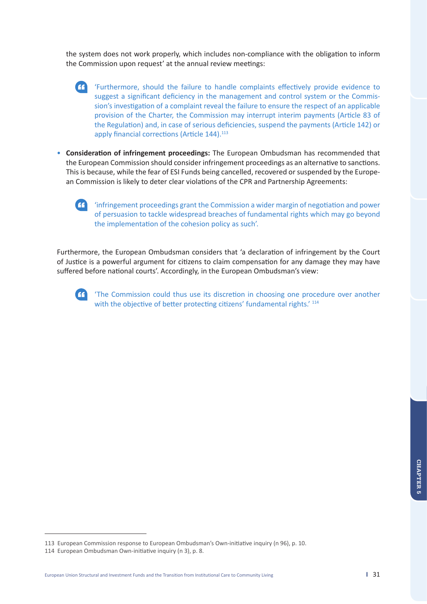the system does not work properly, which includes non-compliance with the obligation to inform the Commission upon request' at the annual review meetings:

- 'Furthermore, should the failure to handle complaints effectively provide evidence to suggest a significant deficiency in the management and control system or the Commission's investigation of a complaint reveal the failure to ensure the respect of an applicable provision of the Charter, the Commission may interrupt interim payments (Article 83 of the Regulation) and, in case of serious deficiencies, suspend the payments (Article 142) or apply financial corrections (Article 144).<sup>113</sup>
- **Consideration of infringement proceedings:** The European Ombudsman has recommended that the European Commission should consider infringement proceedings as an alternative to sanctions. This is because, while the fear of ESI Funds being cancelled, recovered or suspended by the European Commission is likely to deter clear violations of the CPR and Partnership Agreements:

 'infringement proceedings grant the Commission a wider margin of negotiation and power of persuasion to tackle widespread breaches of fundamental rights which may go beyond the implementation of the cohesion policy as such'.

Furthermore, the European Ombudsman considers that 'a declaration of infringement by the Court of Justice is a powerful argument for citizens to claim compensation for any damage they may have suffered before national courts'. Accordingly, in the European Ombudsman's view:



 'The Commission could thus use its discretion in choosing one procedure over another with the objective of better protecting citizens' fundamental rights.' 114

<sup>113</sup> European Commission response to European Ombudsman's Own-initiative inquiry (n 96), p. 10.

<sup>114</sup> European Ombudsman Own-initiative inquiry (n 3), p. 8.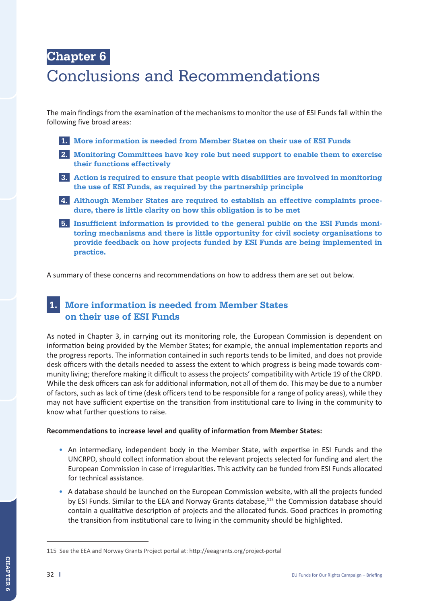# **Chapter 6**  Conclusions and Recommendations

The main findings from the examination of the mechanisms to monitor the use of ESI Funds fall within the following five broad areas:

- **1. More information is needed from Member States on their use of ESI Funds**
- **2. Monitoring Committees have key role but need support to enable them to exercise their functions effectively**
- **3. Action is required to ensure that people with disabilities are involved in monitoring the use of ESI Funds, as required by the partnership principle**
- **4. Although Member States are required to establish an effective complaints procedure, there is little clarity on how this obligation is to be met**
- **5. Insufficient information is provided to the general public on the ESI Funds monitoring mechanisms and there is little opportunity for civil society organisations to provide feedback on how projects funded by ESI Funds are being implemented in practice.**

A summary of these concerns and recommendations on how to address them are set out below.

# **1. More information is needed from Member States on their use of ESI Funds**

As noted in Chapter 3, in carrying out its monitoring role, the European Commission is dependent on information being provided by the Member States; for example, the annual implementation reports and the progress reports. The information contained in such reports tends to be limited, and does not provide desk officers with the details needed to assess the extent to which progress is being made towards community living; therefore making it difficult to assess the projects' compatibility with Article 19 of the CRPD. While the desk officers can ask for additional information, not all of them do. This may be due to a number of factors, such as lack of time (desk officers tend to be responsible for a range of policy areas), while they may not have sufficient expertise on the transition from institutional care to living in the community to know what further questions to raise.

#### **Recommendations to increase level and quality of information from Member States:**

- An intermediary, independent body in the Member State, with expertise in ESI Funds and the UNCRPD, should collect information about the relevant projects selected for funding and alert the European Commission in case of irregularities. This activity can be funded from ESI Funds allocated for technical assistance.
- A database should be launched on the European Commission website, with all the projects funded by ESI Funds. Similar to the EEA and Norway Grants database,<sup>115</sup> the Commission database should contain a qualitative description of projects and the allocated funds. Good practices in promoting the transition from institutional care to living in the community should be highlighted.

<sup>115</sup> See the EEA and Norway Grants Project portal at: http://eeagrants.org/project-portal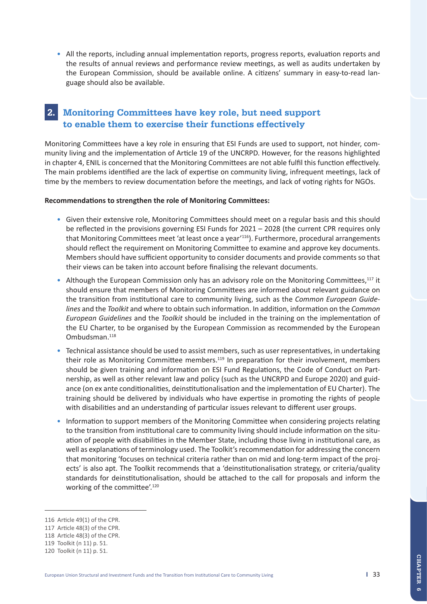• All the reports, including annual implementation reports, progress reports, evaluation reports and the results of annual reviews and performance review meetings, as well as audits undertaken by the European Commission, should be available online. A citizens' summary in easy-to-read language should also be available.

# **2. Monitoring Committees have key role, but need support to enable them to exercise their functions effectively**

Monitoring Committees have a key role in ensuring that ESI Funds are used to support, not hinder, community living and the implementation of Article 19 of the UNCRPD. However, for the reasons highlighted in chapter 4, ENIL is concerned that the Monitoring Committees are not able fulfil this function effectively. The main problems identified are the lack of expertise on community living, infrequent meetings, lack of time by the members to review documentation before the meetings, and lack of voting rights for NGOs.

#### **Recommendations to strengthen the role of Monitoring Committees:**

- Given their extensive role, Monitoring Committees should meet on a regular basis and this should be reflected in the provisions governing ESI Funds for 2021 – 2028 (the current CPR requires only that Monitoring Committees meet 'at least once a year'116). Furthermore, procedural arrangements should reflect the requirement on Monitoring Committee to examine and approve key documents. Members should have sufficient opportunity to consider documents and provide comments so that their views can be taken into account before finalising the relevant documents.
- Although the European Commission only has an advisory role on the Monitoring Committees,<sup>117</sup> it should ensure that members of Monitoring Committees are informed about relevant guidance on the transition from institutional care to community living, such as the *Common European Guidelines* and the *Toolkit* and where to obtain such information. In addition, information on the *Common European Guidelines* and the *Toolkit* should be included in the training on the implementation of the EU Charter, to be organised by the European Commission as recommended by the European Ombudsman.118
- Technical assistance should be used to assist members, such as user representatives, in undertaking their role as Monitoring Committee members.<sup>119</sup> In preparation for their involvement, members should be given training and information on ESI Fund Regulations, the Code of Conduct on Partnership, as well as other relevant law and policy (such as the UNCRPD and Europe 2020) and guidance (on ex ante conditionalities, deinstitutionalisation and the implementation of EU Charter). The training should be delivered by individuals who have expertise in promoting the rights of people with disabilities and an understanding of particular issues relevant to different user groups.
- Information to support members of the Monitoring Committee when considering projects relating to the transition from institutional care to community living should include information on the situation of people with disabilities in the Member State, including those living in institutional care, as well as explanations of terminology used. The Toolkit's recommendation for addressing the concern that monitoring 'focuses on technical criteria rather than on mid and long-term impact of the projects' is also apt. The Toolkit recommends that a 'deinstitutionalisation strategy, or criteria/quality standards for deinstitutionalisation, should be attached to the call for proposals and inform the working of the committee'.<sup>120</sup>

<sup>116</sup> Article 49(1) of the CPR.

<sup>117</sup> Article 48(3) of the CPR.

<sup>118</sup> Article 48(3) of the CPR.

<sup>119</sup> Toolkit (n 11) p. 51.

<sup>120</sup> Toolkit (n 11) p. 51.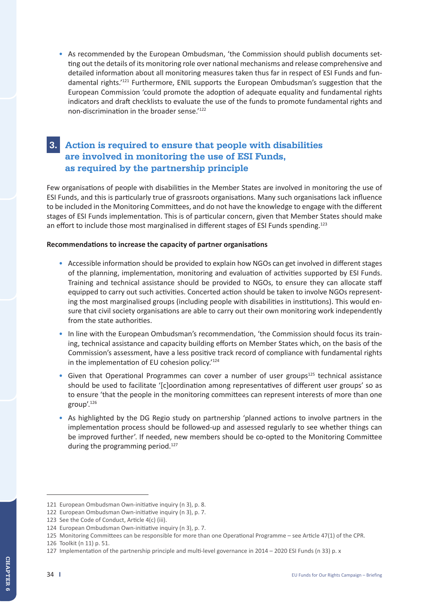• As recommended by the European Ombudsman, 'the Commission should publish documents setting out the details of its monitoring role over national mechanisms and release comprehensive and detailed information about all monitoring measures taken thus far in respect of ESI Funds and fundamental rights.<sup>'121</sup> Furthermore, ENIL supports the European Ombudsman's suggestion that the European Commission 'could promote the adoption of adequate equality and fundamental rights indicators and draft checklists to evaluate the use of the funds to promote fundamental rights and non-discrimination in the broader sense.'122

# **3. Action is required to ensure that people with disabilities are involved in monitoring the use of ESI Funds, as required by the partnership principle**

Few organisations of people with disabilities in the Member States are involved in monitoring the use of ESI Funds, and this is particularly true of grassroots organisations. Many such organisations lack influence to be included in the Monitoring Committees, and do not have the knowledge to engage with the different stages of ESI Funds implementation. This is of particular concern, given that Member States should make an effort to include those most marginalised in different stages of ESI Funds spending.<sup>123</sup>

#### **Recommendations to increase the capacity of partner organisations**

- Accessible information should be provided to explain how NGOs can get involved in different stages of the planning, implementation, monitoring and evaluation of activities supported by ESI Funds. Training and technical assistance should be provided to NGOs, to ensure they can allocate staff equipped to carry out such activities. Concerted action should be taken to involve NGOs representing the most marginalised groups (including people with disabilities in institutions). This would ensure that civil society organisations are able to carry out their own monitoring work independently from the state authorities.
- In line with the European Ombudsman's recommendation, 'the Commission should focus its training, technical assistance and capacity building efforts on Member States which, on the basis of the Commission's assessment, have a less positive track record of compliance with fundamental rights in the implementation of EU cohesion policy.'124
- Given that Operational Programmes can cover a number of user groups<sup>125</sup> technical assistance should be used to facilitate '[c]oordination among representatives of different user groups' so as to ensure 'that the people in the monitoring committees can represent interests of more than one group'.126
- As highlighted by the DG Regio study on partnership 'planned actions to involve partners in the implementation process should be followed-up and assessed regularly to see whether things can be improved further'. If needed, new members should be co-opted to the Monitoring Committee during the programming period.<sup>127</sup>

<sup>121</sup> European Ombudsman Own-initiative inquiry (n 3), p. 8.

<sup>122</sup> European Ombudsman Own-initiative inquiry (n 3), p. 7.

<sup>123</sup> See the Code of Conduct, Article 4(c) (iii).

<sup>124</sup> European Ombudsman Own-initiative inquiry (n 3), p. 7.

<sup>125</sup> Monitoring Committees can be responsible for more than one Operational Programme – see Article 47(1) of the CPR.

<sup>126</sup> Toolkit (n 11) p. 51.

<sup>127</sup> Implementation of the partnership principle and multi-level governance in 2014 – 2020 ESI Funds (n 33) p. x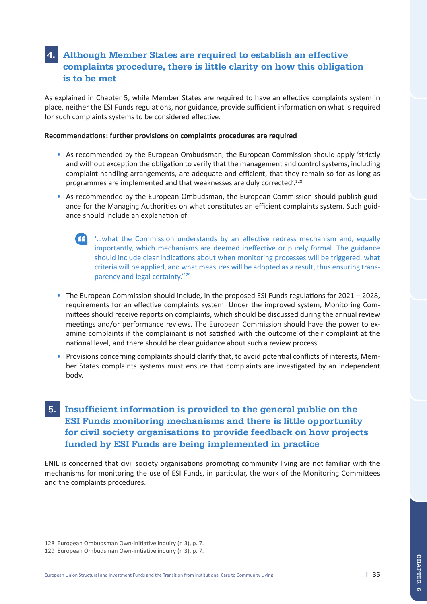# **4. Although Member States are required to establish an effective complaints procedure, there is little clarity on how this obligation is to be met**

As explained in Chapter 5, while Member States are required to have an effective complaints system in place, neither the ESI Funds regulations, nor guidance, provide sufficient information on what is required for such complaints systems to be considered effective.

#### **Recommendations: further provisions on complaints procedures are required**

- As recommended by the European Ombudsman, the European Commission should apply 'strictly and without exception the obligation to verify that the management and control systems, including complaint-handling arrangements, are adequate and efficient, that they remain so for as long as programmes are implemented and that weaknesses are duly corrected'.128
- As recommended by the European Ombudsman, the European Commission should publish guidance for the Managing Authorities on what constitutes an efficient complaints system. Such guidance should include an explanation of:
	- '…what the Commission understands by an effective redress mechanism and, equally importantly, which mechanisms are deemed ineffective or purely formal. The guidance should include clear indications about when monitoring processes will be triggered, what criteria will be applied, and what measures will be adopted as a result, thus ensuring transparency and legal certainty.'129
- The European Commission should include, in the proposed ESI Funds regulations for 2021 2028, requirements for an effective complaints system. Under the improved system, Monitoring Committees should receive reports on complaints, which should be discussed during the annual review meetings and/or performance reviews. The European Commission should have the power to examine complaints if the complainant is not satisfied with the outcome of their complaint at the national level, and there should be clear guidance about such a review process.
- Provisions concerning complaints should clarify that, to avoid potential conflicts of interests, Member States complaints systems must ensure that complaints are investigated by an independent body.

# **5. Insufficient information is provided to the general public on the ESI Funds monitoring mechanisms and there is little opportunity for civil society organisations to provide feedback on how projects funded by ESI Funds are being implemented in practice**

ENIL is concerned that civil society organisations promoting community living are not familiar with the mechanisms for monitoring the use of ESI Funds, in particular, the work of the Monitoring Committees and the complaints procedures.

<sup>128</sup> European Ombudsman Own-initiative inquiry (n 3), p. 7.

<sup>129</sup> European Ombudsman Own-initiative inquiry (n 3), p. 7.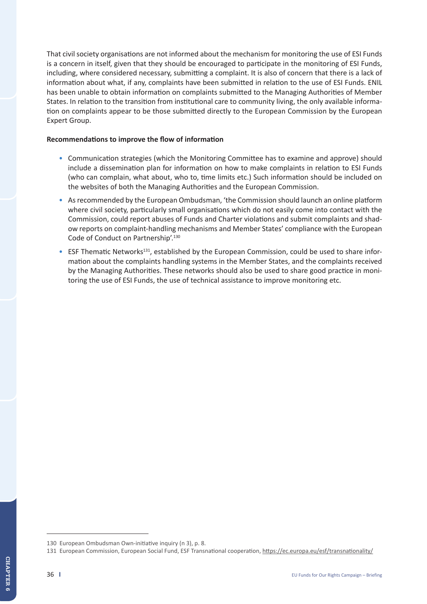That civil society organisations are not informed about the mechanism for monitoring the use of ESI Funds is a concern in itself, given that they should be encouraged to participate in the monitoring of ESI Funds, including, where considered necessary, submitting a complaint. It is also of concern that there is a lack of information about what, if any, complaints have been submitted in relation to the use of ESI Funds. ENIL has been unable to obtain information on complaints submitted to the Managing Authorities of Member States. In relation to the transition from institutional care to community living, the only available information on complaints appear to be those submitted directly to the European Commission by the European Expert Group.

#### **Recommendations to improve the flow of information**

- Communication strategies (which the Monitoring Committee has to examine and approve) should include a dissemination plan for information on how to make complaints in relation to ESI Funds (who can complain, what about, who to, time limits etc.) Such information should be included on the websites of both the Managing Authorities and the European Commission.
- As recommended by the European Ombudsman, 'the Commission should launch an online platform where civil society, particularly small organisations which do not easily come into contact with the Commission, could report abuses of Funds and Charter violations and submit complaints and shadow reports on complaint-handling mechanisms and Member States' compliance with the European Code of Conduct on Partnership'.130
- ESF Thematic Networks<sup>131</sup>, established by the European Commission, could be used to share information about the complaints handling systems in the Member States, and the complaints received by the Managing Authorities. These networks should also be used to share good practice in monitoring the use of ESI Funds, the use of technical assistance to improve monitoring etc.

<sup>130</sup> European Ombudsman Own-initiative inquiry (n 3), p. 8.

<sup>131</sup> European Commission, European Social Fund, ESF Transnational cooperation, https://ec.europa.eu/esf/transnationality/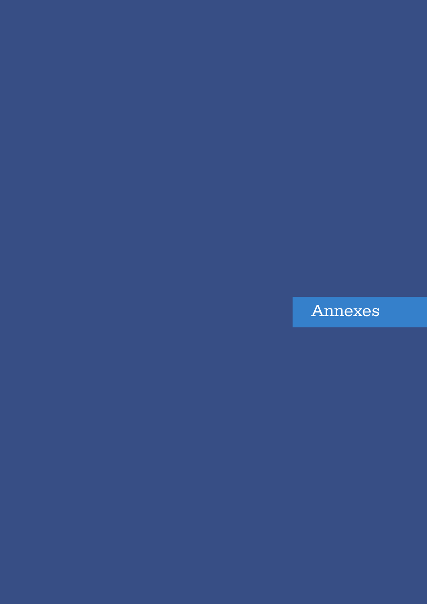# Annexes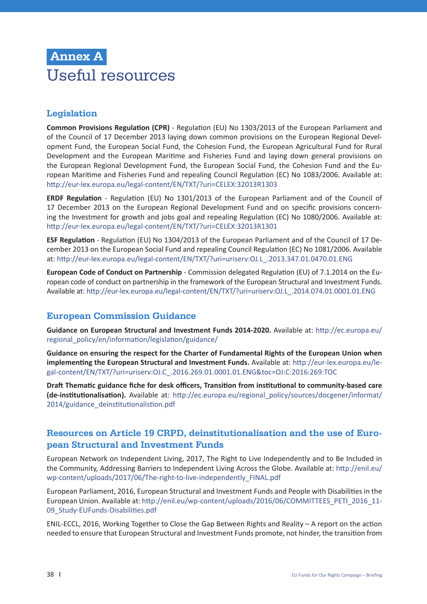# **Annex A** Useful resources

# **Legislation**

**Common Provisions Regulation (CPR)** - Regulation (EU) No 1303/2013 of the European Parliament and of the Council of 17 December 2013 laying down common provisions on the European Regional Development Fund, the European Social Fund, the Cohesion Fund, the European Agricultural Fund for Rural Development and the European Maritime and Fisheries Fund and laying down general provisions on the European Regional Development Fund, the European Social Fund, the Cohesion Fund and the European Maritime and Fisheries Fund and repealing Council Regulation (EC) No 1083/2006. Available at: http://eur-lex.europa.eu/legal-content/EN/TXT/?uri=CELEX:32013R1303

**ERDF Regulation** - Regulation (EU) No 1301/2013 of the European Parliament and of the Council of 17 December 2013 on the European Regional Development Fund and on specific provisions concerning the Investment for growth and jobs goal and repealing Regulation (EC) No 1080/2006. Available at: http://eur-lex.europa.eu/legal-content/EN/TXT/?uri=CELEX:32013R1301

**ESF Regulation** - Regulation (EU) No 1304/2013 of the European Parliament and of the Council of 17 December 2013 on the European Social Fund and repealing Council Regulation (EC) No 1081/2006. Available at: http://eur-lex.europa.eu/legal-content/EN/TXT/?uri=uriserv:OJ.L\_.2013.347.01.0470.01.ENG

**European Code of Conduct on Partnership** - Commission delegated Regulation (EU) of 7.1.2014 on the European code of conduct on partnership in the framework of the European Structural and Investment Funds. Available at: http://eur-lex.europa.eu/legal-content/EN/TXT/?uri=uriserv:OJ.L\_.2014.074.01.0001.01.ENG

## **European Commission Guidance**

**Guidance on European Structural and Investment Funds 2014-2020.** Available at: http://ec.europa.eu/ regional\_policy/en/information/legislation/guidance/

**Guidance on ensuring the respect for the Charter of Fundamental Rights of the European Union when implementing the European Structural and Investment Funds.** Available at: http://eur-lex.europa.eu/legal-content/EN/TXT/?uri=uriserv:OJ.C\_.2016.269.01.0001.01.ENG&toc=OJ:C:2016:269:TOC

**Draft Thematic guidance fiche for desk officers, Transition from institutional to community-based care (de-institutionalisation).** Available at: http://ec.europa.eu/regional\_policy/sources/docgener/informat/ 2014/guidance\_deinstitutionalistion.pdf

## **Resources on Article 19 CRPD, deinstitutionalisation and the use of European Structural and Investment Funds**

European Network on Independent Living, 2017, The Right to Live Independently and to Be Included in the Community, Addressing Barriers to Independent Living Across the Globe. Available at: http://enil.eu/ wp-content/uploads/2017/06/The-right-to-live-independently\_FINAL.pdf

European Parliament, 2016, European Structural and Investment Funds and People with Disabilities in the European Union. Available at: http://enil.eu/wp-content/uploads/2016/06/COMMITTEES\_PETI\_2016\_11- 09\_Study-EUFunds-Disabilities.pdf

ENIL-ECCL, 2016, Working Together to Close the Gap Between Rights and Reality – A report on the action needed to ensure that European Structural and Investment Funds promote, not hinder, the transition from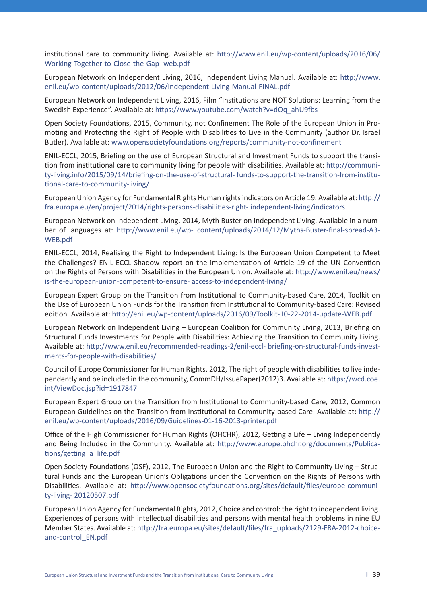institutional care to community living. Available at: http://www.enil.eu/wp-content/uploads/2016/06/ Working-Together-to-Close-the-Gap- web.pdf

European Network on Independent Living, 2016, Independent Living Manual. Available at: http://www. enil.eu/wp-content/uploads/2012/06/Independent-Living-Manual-FINAL.pdf

European Network on Independent Living, 2016, Film "Institutions are NOT Solutions: Learning from the Swedish Experience". Available at: https://www.youtube.com/watch?v=dQq\_ahU9fbs

Open Society Foundations, 2015, Community, not Confinement The Role of the European Union in Promoting and Protecting the Right of People with Disabilities to Live in the Community (author Dr. Israel Butler). Available at: www.opensocietyfoundations.org/reports/community-not-confinement

ENIL-ECCL, 2015, Briefing on the use of European Structural and Investment Funds to support the transition from institutional care to community living for people with disabilities. Available at: http://community-living.info/2015/09/14/briefing-on-the-use-of-structural- funds-to-support-the-transition-from-institutional-care-to-community-living/

European Union Agency for Fundamental Rights Human rights indicators on Article 19. Available at: http:// fra.europa.eu/en/project/2014/rights-persons-disabilities-right- independent-living/indicators

European Network on Independent Living, 2014, Myth Buster on Independent Living. Available in a number of languages at: http://www.enil.eu/wp- content/uploads/2014/12/Myths-Buster-final-spread-A3- WEB.pdf

ENIL-ECCL, 2014, Realising the Right to Independent Living: Is the European Union Competent to Meet the Challenges? ENIL-ECCL Shadow report on the implementation of Article 19 of the UN Convention on the Rights of Persons with Disabilities in the European Union. Available at: http://www.enil.eu/news/ is-the-european-union-competent-to-ensure- access-to-independent-living/

European Expert Group on the Transition from Institutional to Community-based Care, 2014, Toolkit on the Use of European Union Funds for the Transition from Institutional to Community-based Care: Revised edition. Available at: http://enil.eu/wp-content/uploads/2016/09/Toolkit-10-22-2014-update-WEB.pdf

European Network on Independent Living – European Coalition for Community Living, 2013, Briefing on Structural Funds Investments for People with Disabilities: Achieving the Transition to Community Living. Available at: http://www.enil.eu/recommended-readings-2/enil-eccl- briefing-on-structural-funds-investments-for-people-with-disabilities/

Council of Europe Commissioner for Human Rights, 2012, The right of people with disabilities to live independently and be included in the community, CommDH/IssuePaper(2012)3. Available at: https://wcd.coe. int/ViewDoc.jsp?id=1917847

European Expert Group on the Transition from Institutional to Community-based Care, 2012, Common European Guidelines on the Transition from Institutional to Community-based Care. Available at: http:// enil.eu/wp-content/uploads/2016/09/Guidelines-01-16-2013-printer.pdf

Office of the High Commissioner for Human Rights (OHCHR), 2012, Getting a Life – Living Independently and Being Included in the Community. Available at: http://www.europe.ohchr.org/documents/Publications/getting\_a\_life.pdf

Open Society Foundations (OSF), 2012, The European Union and the Right to Community Living – Structural Funds and the European Union's Obligations under the Convention on the Rights of Persons with Disabilities. Available at: http://www.opensocietyfoundations.org/sites/default/files/europe-community-living- 20120507.pdf

European Union Agency for Fundamental Rights, 2012, Choice and control: the right to independent living. Experiences of persons with intellectual disabilities and persons with mental health problems in nine EU Member States. Available at: http://fra.europa.eu/sites/default/files/fra\_uploads/2129-FRA-2012-choiceand-control\_EN.pdf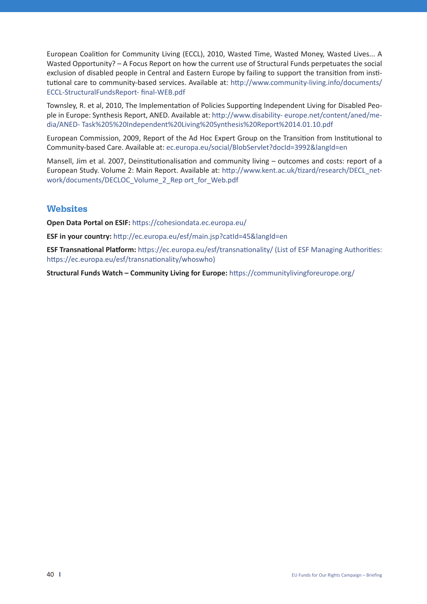European Coalition for Community Living (ECCL), 2010, Wasted Time, Wasted Money, Wasted Lives... A Wasted Opportunity? – A Focus Report on how the current use of Structural Funds perpetuates the social exclusion of disabled people in Central and Eastern Europe by failing to support the transition from institutional care to community-based services. Available at: http://www.community-living.info/documents/ ECCL-StructuralFundsReport- final-WEB.pdf

Townsley, R. et al, 2010, The Implementation of Policies Supporting Independent Living for Disabled People in Europe: Synthesis Report, ANED. Available at: http://www.disability- europe.net/content/aned/media/ANED- Task%205%20Independent%20Living%20Synthesis%20Report%2014.01.10.pdf

European Commission, 2009, Report of the Ad Hoc Expert Group on the Transition from Institutional to Community-based Care. Available at: ec.europa.eu/social/BlobServlet?docId=3992&langId=en

Mansell, Jim et al. 2007, Deinstitutionalisation and community living – outcomes and costs: report of a European Study. Volume 2: Main Report. Available at: http://www.kent.ac.uk/tizard/research/DECL\_network/documents/DECLOC\_Volume\_2\_Rep ort\_for\_Web.pdf

## **Websites**

**Open Data Portal on ESIF:** https://cohesiondata.ec.europa.eu/

**ESF in your country:** http://ec.europa.eu/esf/main.jsp?catId=45&langId=en

**ESF Transnational Platform:** https://ec.europa.eu/esf/transnationality/ (List of ESF Managing Authorities: https://ec.europa.eu/esf/transnationality/whoswho)

**Structural Funds Watch – Community Living for Europe:** https://communitylivingforeurope.org/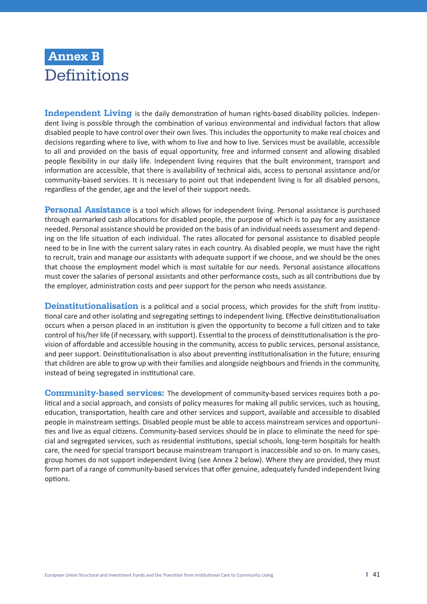# **Annex B Definitions**

**Independent Living** is the daily demonstration of human rights-based disability policies. Independent living is possible through the combination of various environmental and individual factors that allow disabled people to have control over their own lives. This includes the opportunity to make real choices and decisions regarding where to live, with whom to live and how to live. Services must be available, accessible to all and provided on the basis of equal opportunity, free and informed consent and allowing disabled people flexibility in our daily life. Independent living requires that the built environment, transport and information are accessible, that there is availability of technical aids, access to personal assistance and/or community-based services. It is necessary to point out that independent living is for all disabled persons, regardless of the gender, age and the level of their support needs.

**Personal Assistance** is a tool which allows for independent living. Personal assistance is purchased through earmarked cash allocations for disabled people, the purpose of which is to pay for any assistance needed. Personal assistance should be provided on the basis of an individual needs assessment and depending on the life situation of each individual. The rates allocated for personal assistance to disabled people need to be in line with the current salary rates in each country. As disabled people, we must have the right to recruit, train and manage our assistants with adequate support if we choose, and we should be the ones that choose the employment model which is most suitable for our needs. Personal assistance allocations must cover the salaries of personal assistants and other performance costs, such as all contributions due by the employer, administration costs and peer support for the person who needs assistance.

**Deinstitutionalisation** is a political and a social process, which provides for the shift from institutional care and other isolating and segregating settings to independent living. Effective deinstitutionalisation occurs when a person placed in an institution is given the opportunity to become a full citizen and to take control of his/her life (if necessary, with support). Essential to the process of deinstitutionalisation is the provision of affordable and accessible housing in the community, access to public services, personal assistance, and peer support. Deinstitutionalisation is also about preventing institutionalisation in the future; ensuring that children are able to grow up with their families and alongside neighbours and friends in the community, instead of being segregated in institutional care.

**Community-based services:** The development of community-based services requires both a political and a social approach, and consists of policy measures for making all public services, such as housing, education, transportation, health care and other services and support, available and accessible to disabled people in mainstream settings. Disabled people must be able to access mainstream services and opportunities and live as equal citizens. Community-based services should be in place to eliminate the need for special and segregated services, such as residential institutions, special schools, long-term hospitals for health care, the need for special transport because mainstream transport is inaccessible and so on. In many cases, group homes do not support independent living (see Annex 2 below). Where they are provided, they must form part of a range of community-based services that offer genuine, adequately funded independent living options.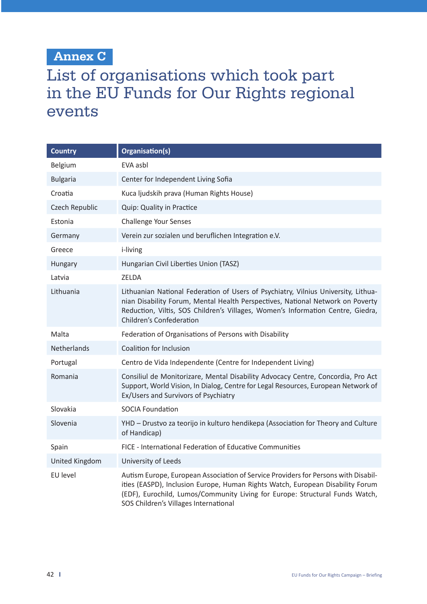# **Annex C**

# List of organisations which took part in the EU Funds for Our Rights regional events

| <b>Country</b>        | Organisation(s)                                                                                                                                                                                                                                                                               |
|-----------------------|-----------------------------------------------------------------------------------------------------------------------------------------------------------------------------------------------------------------------------------------------------------------------------------------------|
| Belgium               | EVA asbl                                                                                                                                                                                                                                                                                      |
| <b>Bulgaria</b>       | Center for Independent Living Sofia                                                                                                                                                                                                                                                           |
| Croatia               | Kuca ljudskih prava (Human Rights House)                                                                                                                                                                                                                                                      |
| Czech Republic        | Quip: Quality in Practice                                                                                                                                                                                                                                                                     |
| Estonia               | <b>Challenge Your Senses</b>                                                                                                                                                                                                                                                                  |
| Germany               | Verein zur sozialen und beruflichen Integration e.V.                                                                                                                                                                                                                                          |
| Greece                | i-living                                                                                                                                                                                                                                                                                      |
| Hungary               | Hungarian Civil Liberties Union (TASZ)                                                                                                                                                                                                                                                        |
| Latvia                | <b>ZELDA</b>                                                                                                                                                                                                                                                                                  |
| Lithuania             | Lithuanian National Federation of Users of Psychiatry, Vilnius University, Lithua-<br>nian Disability Forum, Mental Health Perspectives, National Network on Poverty<br>Reduction, Viltis, SOS Children's Villages, Women's Information Centre, Giedra,<br>Children's Confederation           |
| Malta                 | Federation of Organisations of Persons with Disability                                                                                                                                                                                                                                        |
| Netherlands           | Coalition for Inclusion                                                                                                                                                                                                                                                                       |
| Portugal              | Centro de Vida Independente (Centre for Independent Living)                                                                                                                                                                                                                                   |
| Romania               | Consiliul de Monitorizare, Mental Disability Advocacy Centre, Concordia, Pro Act<br>Support, World Vision, In Dialog, Centre for Legal Resources, European Network of<br>Ex/Users and Survivors of Psychiatry                                                                                 |
| Slovakia              | <b>SOCIA Foundation</b>                                                                                                                                                                                                                                                                       |
| Slovenia              | YHD - Drustvo za teorijo in kulturo hendikepa (Association for Theory and Culture<br>of Handicap)                                                                                                                                                                                             |
| Spain                 | FICE - International Federation of Educative Communities                                                                                                                                                                                                                                      |
| <b>United Kingdom</b> | University of Leeds                                                                                                                                                                                                                                                                           |
| EU level              | Autism Europe, European Association of Service Providers for Persons with Disabil-<br>ities (EASPD), Inclusion Europe, Human Rights Watch, European Disability Forum<br>(EDF), Eurochild, Lumos/Community Living for Europe: Structural Funds Watch,<br>SOS Children's Villages International |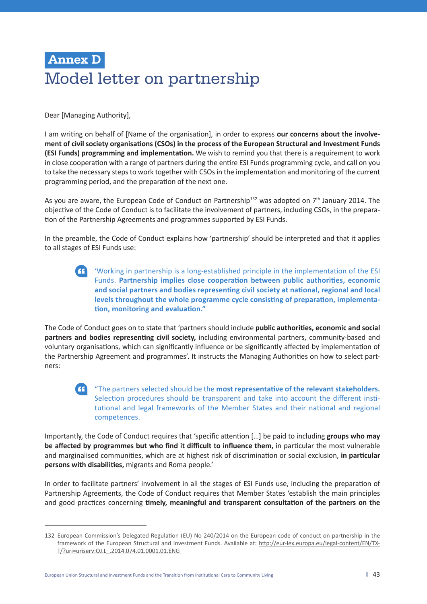# **Annex D** Model letter on partnership

Dear [Managing Authority],

I am writing on behalf of [Name of the organisation], in order to express **our concerns about the involvement of civil society organisations (CSOs) in the process of the European Structural and Investment Funds (ESI Funds) programming and implementation.** We wish to remind you that there is a requirement to work in close cooperation with a range of partners during the entire ESI Funds programming cycle, and call on you to take the necessary steps to work together with CSOs in the implementation and monitoring of the current programming period, and the preparation of the next one.

As you are aware, the European Code of Conduct on Partnership<sup>132</sup> was adopted on  $7<sup>th</sup>$  January 2014. The objective of the Code of Conduct is to facilitate the involvement of partners, including CSOs, in the preparation of the Partnership Agreements and programmes supported by ESI Funds.

In the preamble, the Code of Conduct explains how 'partnership' should be interpreted and that it applies to all stages of ESI Funds use:

 'Working in partnership is a long-established principle in the implementation of the ESI Funds. **Partnership implies close cooperation between public authorities, economic and social partners and bodies representing civil society at national, regional and local levels throughout the whole programme cycle consisting of preparation, implementation, monitoring and evaluation."**

The Code of Conduct goes on to state that 'partners should include **public authorities, economic and social partners and bodies representing civil society,** including environmental partners, community-based and voluntary organisations, which can significantly influence or be significantly affected by implementation of the Partnership Agreement and programmes'. It instructs the Managing Authorities on how to select partners:

## "The partners selected should be the **most representative of the relevant stakeholders.**  Selection procedures should be transparent and take into account the different institutional and legal frameworks of the Member States and their national and regional competences.

Importantly, the Code of Conduct requires that 'specific attention […] be paid to including **groups who may be affected by programmes but who find it difficult to influence them,** in particular the most vulnerable and marginalised communities, which are at highest risk of discrimination or social exclusion, **in particular persons with disabilities,** migrants and Roma people.'

In order to facilitate partners' involvement in all the stages of ESI Funds use, including the preparation of Partnership Agreements, the Code of Conduct requires that Member States 'establish the main principles and good practices concerning **timely, meaningful and transparent consultation of the partners on the** 

European Union Structural and Investment Funds and the Transition from Institutional Care to Community Living **I** 43

<sup>132</sup> European Commission's Delegated Regulation (EU) No 240/2014 on the European code of conduct on partnership in the framework of the European Structural and Investment Funds. Available at: http://eur-lex.europa.eu/legal-content/EN/TX-T/?uri=uriserv:OJ.L\_.2014.074.01.0001.01.ENG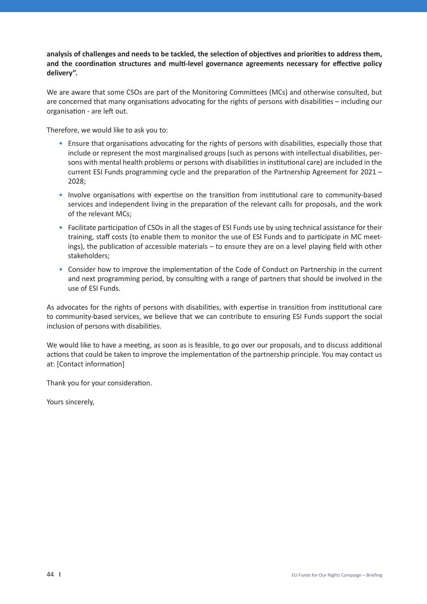**analysis of challenges and needs to be tackled, the selection of objectives and priorities to address them, and the coordination structures and multi-level governance agreements necessary for effective policy delivery".**

We are aware that some CSOs are part of the Monitoring Committees (MCs) and otherwise consulted, but are concerned that many organisations advocating for the rights of persons with disabilities – including our organisation - are left out.

Therefore, we would like to ask you to:

- Ensure that organisations advocating for the rights of persons with disabilities, especially those that include or represent the most marginalised groups (such as persons with intellectual disabilities, persons with mental health problems or persons with disabilities in institutional care) are included in the current ESI Funds programming cycle and the preparation of the Partnership Agreement for 2021 – 2028;
- Involve organisations with expertise on the transition from institutional care to community-based services and independent living in the preparation of the relevant calls for proposals, and the work of the relevant MCs;
- Facilitate participation of CSOs in all the stages of ESI Funds use by using technical assistance for their training, staff costs (to enable them to monitor the use of ESI Funds and to participate in MC meetings), the publication of accessible materials – to ensure they are on a level playing field with other stakeholders;
- Consider how to improve the implementation of the Code of Conduct on Partnership in the current and next programming period, by consulting with a range of partners that should be involved in the use of ESI Funds.

As advocates for the rights of persons with disabilities, with expertise in transition from institutional care to community-based services, we believe that we can contribute to ensuring ESI Funds support the social inclusion of persons with disabilities.

We would like to have a meeting, as soon as is feasible, to go over our proposals, and to discuss additional actions that could be taken to improve the implementation of the partnership principle. You may contact us at: [Contact information]

Thank you for your consideration.

Yours sincerely,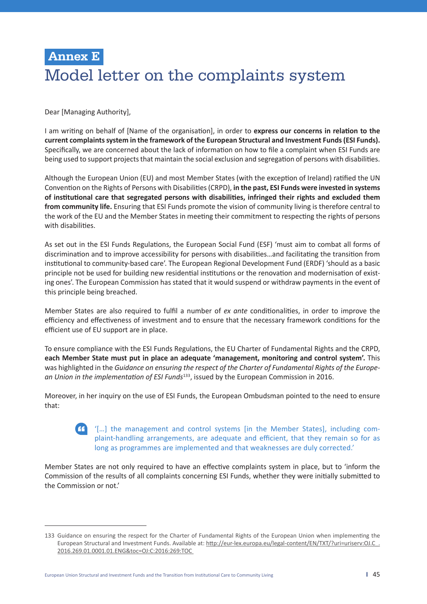# **Annex E**  Model letter on the complaints system

Dear [Managing Authority],

I am writing on behalf of [Name of the organisation], in order to **express our concerns in relation to the current complaints system in the framework of the European Structural and Investment Funds (ESI Funds).** Specifically, we are concerned about the lack of information on how to file a complaint when ESI Funds are being used to support projects that maintain the social exclusion and segregation of persons with disabilities.

Although the European Union (EU) and most Member States (with the exception of Ireland) ratified the UN Convention on the Rights of Persons with Disabilities (CRPD), **in the past, ESI Funds were invested in systems of institutional care that segregated persons with disabilities, infringed their rights and excluded them from community life.** Ensuring that ESI Funds promote the vision of community living is therefore central to the work of the EU and the Member States in meeting their commitment to respecting the rights of persons with disabilities.

As set out in the ESI Funds Regulations, the European Social Fund (ESF) 'must aim to combat all forms of discrimination and to improve accessibility for persons with disabilities…and facilitating the transition from institutional to community-based care'. The European Regional Development Fund (ERDF) 'should as a basic principle not be used for building new residential institutions or the renovation and modernisation of existing ones'. The European Commission has stated that it would suspend or withdraw payments in the event of this principle being breached.

Member States are also required to fulfil a number of *ex ante* conditionalities, in order to improve the efficiency and effectiveness of investment and to ensure that the necessary framework conditions for the efficient use of EU support are in place.

To ensure compliance with the ESI Funds Regulations, the EU Charter of Fundamental Rights and the CRPD, **each Member State must put in place an adequate 'management, monitoring and control system'.** This was highlighted in the *Guidance on ensuring the respect of the Charter of Fundamental Rights of the European Union in the implementation of ESI Funds*133, issued by the European Commission in 2016.

Moreover, in her inquiry on the use of ESI Funds, the European Ombudsman pointed to the need to ensure that:

## '[…] the management and control systems [in the Member States], including complaint-handling arrangements, are adequate and efficient, that they remain so for as long as programmes are implemented and that weaknesses are duly corrected.'

Member States are not only required to have an effective complaints system in place, but to 'inform the Commission of the results of all complaints concerning ESI Funds, whether they were initially submitted to the Commission or not.'

<sup>133</sup> Guidance on ensuring the respect for the Charter of Fundamental Rights of the European Union when implementing the European Structural and Investment Funds. Available at: http://eur-lex.europa.eu/legal-content/EN/TXT/?uri=uriserv:OJ.C\_. 2016.269.01.0001.01.ENG&toc=OJ:C:2016:269:TOC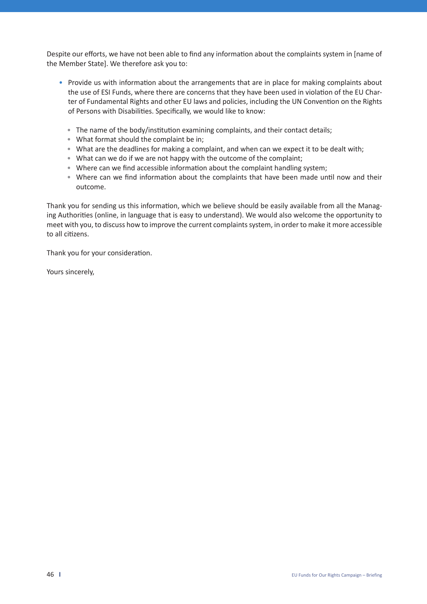Despite our efforts, we have not been able to find any information about the complaints system in [name of the Member State]. We therefore ask you to:

- Provide us with information about the arrangements that are in place for making complaints about the use of ESI Funds, where there are concerns that they have been used in violation of the EU Charter of Fundamental Rights and other EU laws and policies, including the UN Convention on the Rights of Persons with Disabilities. Specifically, we would like to know:
	- The name of the body/institution examining complaints, and their contact details;
	- What format should the complaint be in;
	- What are the deadlines for making a complaint, and when can we expect it to be dealt with;
	- What can we do if we are not happy with the outcome of the complaint;
	- Where can we find accessible information about the complaint handling system;
	- Where can we find information about the complaints that have been made until now and their outcome.

Thank you for sending us this information, which we believe should be easily available from all the Managing Authorities (online, in language that is easy to understand). We would also welcome the opportunity to meet with you, to discuss how to improve the current complaints system, in order to make it more accessible to all citizens.

Thank you for your consideration.

Yours sincerely,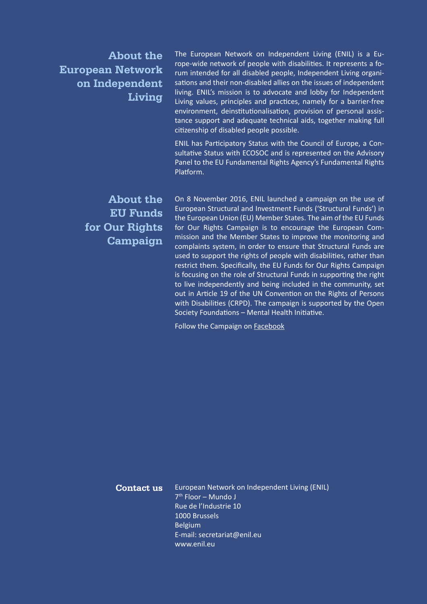**About the European Network on Independent Living**

The European Network on Independent Living (ENIL) is a Europe-wide network of people with disabilities. It represents a forum intended for all disabled people, Independent Living organisations and their non-disabled allies on the issues of independent living. ENIL's mission is to advocate and lobby for Independent Living values, principles and practices, namely for a barrier-free environment, deinstitutionalisation, provision of personal assistance support and adequate technical aids, together making full citizenship of disabled people possible.

ENIL has Participatory Status with the Council of Europe, a Consultative Status with ECOSOC and is represented on the Advisory Panel to the EU Fundamental Rights Agency's Fundamental Rights Platform.

# **About the EU Funds for Our Rights Campaign**

On 8 November 2016, ENIL launched a campaign on the use of European Structural and Investment Funds ('Structural Funds') in the European Union (EU) Member States. The aim of the EU Funds for Our Rights Campaign is to encourage the European Commission and the Member States to improve the monitoring and complaints system, in order to ensure that Structural Funds are used to support the rights of people with disabilities, rather than restrict them. Specifically, the EU Funds for Our Rights Campaign is focusing on the role of Structural Funds in supporting the right to live independently and being included in the community, set out in Article 19 of the UN Convention on the Rights of Persons with Disabilities (CRPD). The campaign is supported by the Open Society Foundations – Mental Health Initiative.

Follow the Campaign on Facebook

European Network on Independent Living (ENIL)  $7<sup>th</sup>$  Floor – Mundo J Rue de l'Industrie 10 1000 Brussels Belgium E-mail: secretariat@enil.eu www.enil.eu **Contact us**